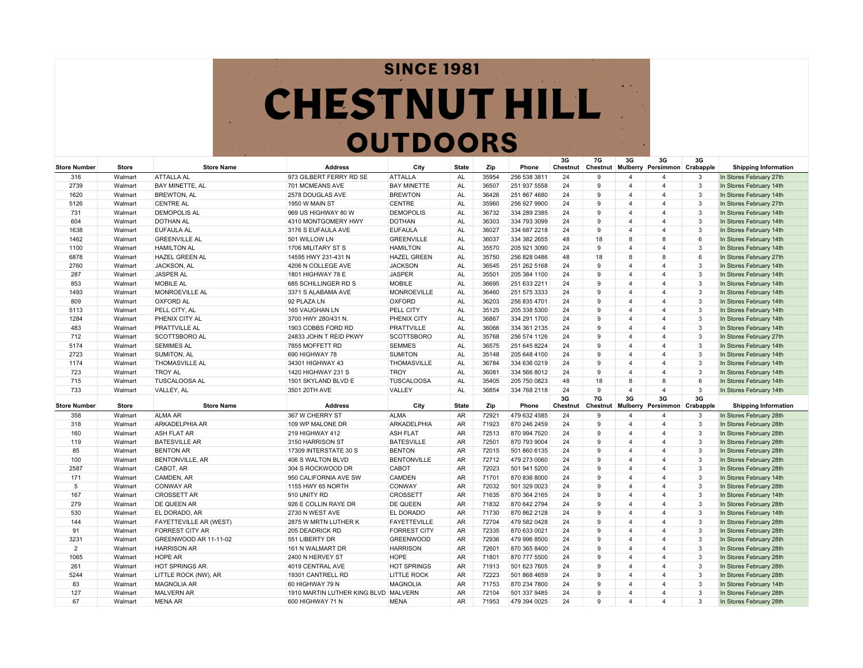## **SINCE 1981 CHESTNUT HILL OUTDOORS**

| <b>Store Number</b> | Store   | <b>Store Name</b>             | <b>Address</b>                       | City                | <b>State</b> | Zip   | Phone        | 3G<br>Chestnut | 7G           | 3G                      | 3G<br>Chestnut Mulberry Persimmon Crabapple | 3G           | <b>Shipping Information</b> |
|---------------------|---------|-------------------------------|--------------------------------------|---------------------|--------------|-------|--------------|----------------|--------------|-------------------------|---------------------------------------------|--------------|-----------------------------|
| 316                 | Walmart | <b>ATTALLA AL</b>             | 973 GILBERT FERRY RD SE              | <b>ATTALLA</b>      | AL           | 35954 | 256 538 3811 | 24             | 9            | $\overline{4}$          | $\overline{\mathbf{A}}$                     | 3            | In Stores February 27th     |
| 2739                | Walmart | <b>BAY MINETTE, AL</b>        | 701 MCMEANS AVE                      | <b>BAY MINETTE</b>  | AL           | 36507 | 251 937 5558 | 24             | 9            | $\overline{4}$          | $\overline{4}$                              | 3            | In Stores February 14th     |
| 1620                | Walmart | <b>BREWTON, AL</b>            | 2578 DOUGLAS AVE                     | <b>BREWTON</b>      | AL           | 36426 | 251 867 4680 | 24             | 9            | $\overline{4}$          | $\overline{4}$                              | 3            | In Stores February 14th     |
| 5126                | Walmart | <b>CENTRE AL</b>              | 1950 W MAIN ST                       | <b>CENTRE</b>       | AL           | 35960 | 256 927 9900 | 24             | 9            | $\overline{4}$          | $\overline{4}$                              | 3            | In Stores February 27th     |
| 731                 | Walmart | <b>DEMOPOLIS AL</b>           | 969 US HIGHWAY 80 W                  | <b>DEMOPOLIS</b>    | AL           | 36732 | 334 289 2385 | 24             | 9            | $\overline{4}$          | $\overline{4}$                              | 3            | In Stores February 14th     |
| 604                 | Walmart | <b>DOTHAN AL</b>              | 4310 MONTGOMERY HWY                  | <b>DOTHAN</b>       | AL           | 36303 | 334 793 3099 | 24             | 9            | $\overline{4}$          | $\overline{4}$                              | 3            | In Stores February 14th     |
| 1638                | Walmart | <b>EUFAULA AL</b>             | 3176 S EUFAULA AVE                   | <b>EUFAULA</b>      | AL           | 36027 | 334 687 2218 | 24             | 9            | $\boldsymbol{\Delta}$   | $\overline{4}$                              | 3            | In Stores February 14th     |
| 1462                | Walmart | <b>GREENVILLE AL</b>          | 501 WILLOW LN                        | <b>GREENVILLE</b>   | AL           | 36037 | 334 382 2655 | 48             | 18           | 8                       | 8                                           | 6            | In Stores February 14th     |
| 1100                | Walmart | <b>HAMILTON AL</b>            | 1706 MILITARY ST S                   | <b>HAMILTON</b>     | AL           | 35570 | 205 921 3090 | 24             | 9            | $\overline{4}$          | $\overline{4}$                              | 3            | In Stores February 14th     |
| 6878                | Walmart | <b>HAZEL GREEN AL</b>         | 14595 HWY 231-431 N                  | <b>HAZEL GREEN</b>  | AL           | 35750 | 256 828 0486 | 48             | 18           | 8                       | 8                                           | 6            | In Stores February 27th     |
| 2760                | Walmart | JACKSON, AL                   | 4206 N COLLEGE AVE                   | <b>JACKSON</b>      | AL           | 36545 | 251 262 5168 | 24             | 9            | $\overline{4}$          | 4                                           | 3            | In Stores February 14th     |
| 287                 | Walmart | <b>JASPER AL</b>              | 1801 HIGHWAY 78 E                    | <b>JASPER</b>       | AL           | 35501 | 205 384 1100 | 24             | 9            | $\overline{a}$          | $\overline{4}$                              | 3            | In Stores February 14th     |
| 853                 | Walmart | <b>MOBILE AL</b>              | 685 SCHILLINGER RD S                 | <b>MOBILE</b>       | AL           | 36695 | 251 633 2211 | 24             | 9            | $\overline{4}$          | $\overline{4}$                              | 3            | In Stores February 14th     |
| 1493                | Walmart | MONROEVILLE AL                | 3371 S ALABAMA AVE                   | <b>MONROEVILLE</b>  | AL           | 36460 | 251 575 3333 | 24             | 9            | $\overline{4}$          | $\overline{4}$                              | 3            | In Stores February 14th     |
| 809                 | Walmart | <b>OXFORD AL</b>              | 92 PLAZA LN                          | <b>OXFORD</b>       | AL           | 36203 | 256 835 4701 | 24             | 9            | 4                       | 4                                           | 3            | In Stores February 14th     |
| 5113                | Walmart | PELL CITY, AL                 | 165 VAUGHAN LN                       | PELL CITY           | AL           | 35125 | 205 338 5300 | 24             | 9            | $\overline{4}$          | $\overline{4}$                              | 3            | In Stores February 14th     |
| 1284                | Walmart | PHENIX CITY AL                | 3700 HWY 280/431 N.                  | PHENIX CITY         | AL           | 36867 | 334 291 1700 | 24             | 9            | $\overline{a}$          | $\overline{4}$                              | 3            | In Stores February 14th     |
| 483                 | Walmart | <b>PRATTVILLE AL</b>          | 1903 COBBS FORD RD                   | <b>PRATTVILLE</b>   | AL           | 36066 | 334 361 2135 | 24             | 9            | $\overline{4}$          | $\overline{4}$                              | 3            | In Stores February 14th     |
| 712                 | Walmart | <b>SCOTTSBORO AL</b>          | 24833 JOHN T REID PKWY               | <b>SCOTTSBORO</b>   | AL           | 35768 | 256 574 1126 | 24             | 9            | $\overline{a}$          | $\overline{4}$                              | 3            | In Stores February 27th     |
| 5174                | Walmart | <b>SEMIMES AL</b>             | 7855 MOFFETT RD                      | <b>SEMMES</b>       | AL           | 36575 | 251 645 8224 | 24             | 9            | $\overline{a}$          | $\overline{4}$                              | 3            | In Stores February 14th     |
| 2723                | Walmart | <b>SUMITON, AL</b>            | 690 HIGHWAY 78                       | <b>SUMITON</b>      | AL           | 35148 | 205 648 4100 | 24             | <b>q</b>     | $\overline{a}$          | 4                                           | 3            | In Stores February 14th     |
| 1174                | Walmart | <b>THOMASVILLE AL</b>         | 34301 HIGHWAY 43                     | THOMASVILLE         | AL           | 36784 | 334 636 0219 | 24             | 9            | $\overline{4}$          | $\overline{4}$                              | 3            | In Stores February 14th     |
| 723                 | Walmart | <b>TROY AL</b>                | 1420 HIGHWAY 231 S                   | <b>TROY</b>         | AL           | 36081 | 334 566 8012 | 24             | 9            | $\overline{a}$          | $\overline{4}$                              | 3            | In Stores February 14th     |
| 715                 | Walmart | <b>TUSCALOOSA AL</b>          | 1501 SKYLAND BLVD E                  | <b>TUSCALOOSA</b>   | AL           | 35405 | 205 750 0823 | 48             | 18           | 8                       | 8                                           | 6            | In Stores February 14th     |
| 733                 | Walmart | VALLEY, AL                    | 3501 20TH AVE                        | VALLEY              | AL           | 36854 | 334 768 2118 | 24             | 9            | $\overline{4}$          | $\overline{4}$                              | 3            | In Stores February 14th     |
|                     |         |                               |                                      |                     |              |       |              | 3G             | 7G           | 3G                      | 3G                                          | 3G           |                             |
| <b>Store Number</b> | Store   | <b>Store Name</b>             | <b>Address</b>                       | City                | <b>State</b> | Zip   | Phone        | Chestnut       | Chestnut     | Mulberry                | Persimmon                                   | Crabapple    | <b>Shipping Information</b> |
| 358                 | Walmart | <b>ALMA AR</b>                | 367 W CHERRY ST                      | <b>ALMA</b>         | <b>AR</b>    | 72921 | 479 632 4585 | 24             | 9            | $\overline{4}$          | $\overline{4}$                              | 3            | In Stores February 28th     |
| 318                 | Walmart | <b>ARKADELPHIA AR</b>         | 109 WP MALONE DR                     | ARKADELPHIA         | AR           | 71923 | 870 246 2459 | 24             | 9            | $\overline{4}$          | $\overline{\mathbf{A}}$                     | 3            | In Stores February 28th     |
| 160                 | Walmart | <b>ASH FLAT AR</b>            | 219 HIGHWAY 412                      | <b>ASH FLAT</b>     | <b>AR</b>    | 72513 | 870 994 7520 | 24             | 9            | $\overline{a}$          | $\overline{\mathbf{A}}$                     | 3            | In Stores February 28th     |
| 119                 | Walmart | <b>BATESVILLE AR</b>          | 3150 HARRISON ST                     | <b>BATESVILLE</b>   | AR           | 72501 | 870 793 9004 | 24             | 9            | $\overline{4}$          | $\overline{4}$                              | 3            | In Stores February 28th     |
| 85                  | Walmart | <b>BENTON AR</b>              | 17309 INTERSTATE 30 S                | <b>BENTON</b>       | AR           | 72015 | 501 860 6135 | 24             | 9            | $\overline{a}$          | 4                                           | 3            | In Stores February 28th     |
| 100                 | Walmart | <b>BENTONVILLE, AR</b>        | 406 S WALTON BLVD                    | <b>BENTONVILLE</b>  | AR           | 72712 | 479 273 0060 | 24             | 9            | $\overline{a}$          | $\overline{4}$                              | 3            | In Stores February 28th     |
| 2587                | Walmart | CABOT, AR                     | 304 S ROCKWOOD DR                    | CABOT               | AR           | 72023 | 501 941 5200 | 24             | 9            | Δ                       | $\overline{4}$                              | 3            | In Stores February 28th     |
| 171                 | Walmart | CAMDEN, AR                    | 950 CALIFORNIA AVE SW                | <b>CAMDEN</b>       | AR           | 71701 | 870 836 8000 | 24             | 9            | $\overline{a}$          | $\overline{4}$                              | 3            | In Stores February 14th     |
| 5                   | Walmart | <b>CONWAY AR</b>              | 1155 HWY 65 NORTH                    | <b>CONWAY</b>       | AR           | 72032 | 501 329 0023 | 24             | 9            | Δ                       | $\overline{4}$                              | 3            | In Stores February 28th     |
| 167                 | Walmart | <b>CROSSETT AR</b>            | 910 UNITY RD                         | <b>CROSSETT</b>     | AR           | 71635 | 870 364 2165 | 24             | $\mathbf{Q}$ | $\overline{\mathbf{A}}$ | $\overline{4}$                              | 3            | In Stores February 14th     |
| 279                 | Walmart | DE QUEEN AR                   | 926 E COLLIN RAYE DR                 | DE QUEEN            | AR           | 71832 | 870 642 2794 | 24             | $\mathbf{Q}$ | $\overline{\mathbf{A}}$ | $\overline{4}$                              | 3            | In Stores February 28th     |
| 530                 | Walmart | EL DORADO, AR                 | 2730 N WEST AVE                      | <b>EL DORADO</b>    | AR           | 71730 | 870 862 2128 | 24             | g            | $\overline{4}$          | $\overline{4}$                              | 3            | In Stores February 14th     |
| 144                 | Walmart | <b>FAYETTEVILLE AR (WEST)</b> | 2875 W MRTN LUTHER K                 | <b>FAYETTEVILLE</b> | AR           | 72704 | 479 582 0428 | 24             | $\mathbf{Q}$ | Δ                       | $\overline{4}$                              | $\mathbf{3}$ | In Stores February 28th     |
| 91                  | Walmart | <b>FORREST CITY AR</b>        | 205 DEADRICK RD                      | <b>FORREST CITY</b> | AR           | 72335 | 870 633 0021 | 24             | 9            | $\overline{4}$          | $\overline{4}$                              | 3            | In Stores February 28th     |
| 3231                | Walmart | GREENWOOD AR 11-11-02         | 551 LIBERTY DR                       | <b>GREENWOOD</b>    | AR           | 72936 | 479 996 8500 | 24             | 9            | $\overline{4}$          | $\overline{4}$                              | $\mathbf{3}$ | In Stores February 28th     |
| 2                   | Walmart | <b>HARRISON AR</b>            | 161 N WALMART DR                     | <b>HARRISON</b>     | AR           | 72601 | 870 365 8400 | 24             | 9            | $\overline{4}$          | $\overline{4}$                              | 3            | In Stores February 28th     |
| 1065                | Walmart | <b>HOPE AR</b>                | 2400 N HERVEY ST                     | <b>HOPE</b>         | AR           | 71801 | 870 777 5500 | 24             | 9            | $\overline{4}$          | $\overline{4}$                              | 3            | In Stores February 28th     |
| 261                 | Walmart | <b>HOT SPRINGS AR</b>         | 4019 CENTRAL AVE                     | <b>HOT SPRINGS</b>  | AR           | 71913 | 501 623 7605 | 24             | 9            | $\overline{4}$          | $\overline{4}$                              | 3            | In Stores February 28th     |
| 5244                | Walmart | LITTLE ROCK (NW), AR          | 19301 CANTRELL RD                    | <b>LITTLE ROCK</b>  | AR           | 72223 | 501 868 4659 | 24             | 9            | $\overline{4}$          | $\overline{\mathbf{4}}$                     | 3            | In Stores February 28th     |
| 83                  | Walmart | <b>MAGNOLIA AR</b>            | 60 HIGHWAY 79 N                      | <b>MAGNOLIA</b>     | AR           | 71753 | 870 234 7800 | 24             | g            | $\Delta$                | $\overline{4}$                              | 3            | In Stores February 14th     |
| 127                 | Walmart | <b>MALVERN AR</b>             | 1910 MARTIN LUTHER KING BLVD MALVERN |                     | <b>AR</b>    | 72104 | 501 337 9485 | 24             | 9            | $\overline{4}$          | $\overline{\mathbf{A}}$                     | 3            | In Stores February 28th     |
| 67                  | Walmart | <b>MENA AR</b>                | 600 HIGHWAY 71 N                     | <b>MENA</b>         | <b>AR</b>    | 71953 | 479 394 0025 | 24             | g            | $\overline{4}$          | $\overline{\mathbf{A}}$                     | 3            | In Stores February 28th     |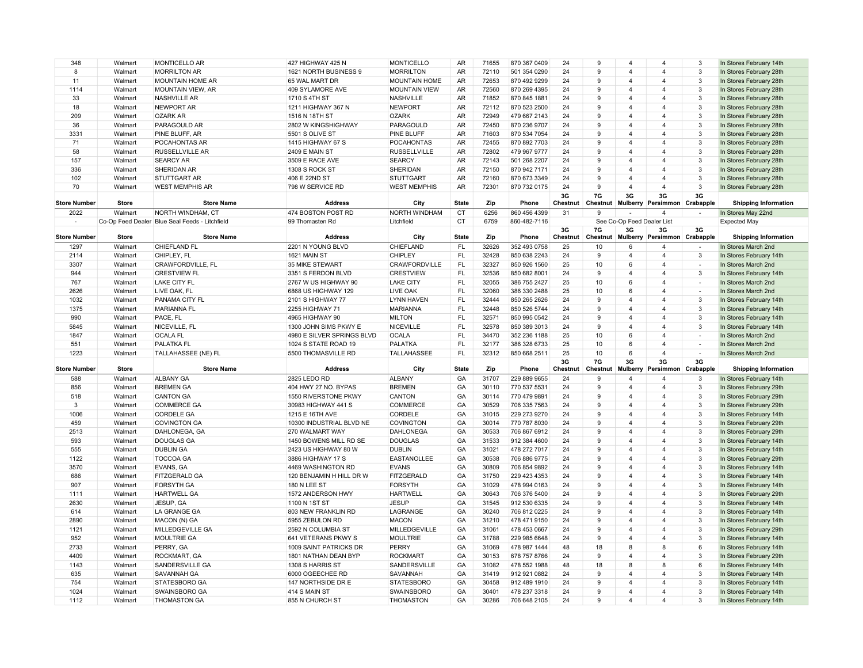| 348                 | Walmart            | MONTICELLO AR                                  | 427 HIGHWAY 425 N                | <b>MONTICELLO</b>                     | AR.          | 71655          | 870 367 0409                 | 24       | 9            | $\overline{4}$               | $\overline{\mathbf{4}}$ | 3            | In Stores February 14th                            |
|---------------------|--------------------|------------------------------------------------|----------------------------------|---------------------------------------|--------------|----------------|------------------------------|----------|--------------|------------------------------|-------------------------|--------------|----------------------------------------------------|
| 8                   | Walmart            | <b>MORRILTON AR</b>                            | 1621 NORTH BUSINESS 9            | <b>MORRILTON</b>                      | AR           | 72110          | 501 354 0290                 | 24       | 9            | $\overline{\mathbf{4}}$      | $\overline{4}$          | 3            | In Stores February 28th                            |
| 11                  | Walmart            | <b>MOUNTAIN HOME AR</b>                        | 65 WAL MART DR                   | <b>MOUNTAIN HOME</b>                  | AR           | 72653          | 870 492 9299                 | 24       | 9            | $\overline{\mathbf{A}}$      | $\overline{4}$          | 3            | In Stores February 28th                            |
| 1114                | Walmart            | MOUNTAIN VIEW, AR                              | 409 SYLAMORE AVE                 | <b>MOUNTAIN VIEW</b>                  | AR           | 72560          | 870 269 4395                 | 24       | 9            | $\Delta$                     | $\overline{4}$          | $\mathbf{3}$ | In Stores February 28th                            |
| 33                  | Walmart            | <b>NASHVILLE AR</b>                            | 1710 S 4TH ST                    | NASHVILLE                             | AR           | 71852          | 870 845 1881                 | 24       | $\mathbf{Q}$ | $\Delta$                     | $\overline{4}$          | 3            | In Stores February 28th                            |
| 18                  | Walmart            | <b>NEWPORT AR</b>                              | 1211 HIGHWAY 367 N               | <b>NEWPORT</b>                        | AR.          | 72112          | 870 523 2500                 | 24       | 9            | $\overline{\mathbf{A}}$      | $\overline{4}$          | 3            | In Stores February 28th                            |
| 209                 | Walmart            | <b>OZARK AR</b>                                | 1516 N 18TH ST                   | <b>OZARK</b>                          | <b>AR</b>    | 72949          | 479 667 2143                 | 24       | 9            | $\overline{4}$               | $\overline{4}$          | 3            | In Stores February 28th                            |
| 36                  | Walmart            | PARAGOULD AR                                   | 2802 W KINGSHIGHWAY              | PARAGOULD                             | AR           | 72450          | 870 236 9707                 | 24       | 9            | $\overline{4}$               | 4                       | 3            | In Stores February 28th                            |
| 3331                | Walmart            | PINE BLUFF, AR                                 | 5501 S OLIVE ST                  | PINE BLUFF                            | AR           | 71603          | 870 534 7054                 | 24       | 9            | $\Delta$                     | 4                       | 3            | In Stores February 28th                            |
| 71                  | Walmart            | POCAHONTAS AR                                  | 1415 HIGHWAY 67 S                | <b>POCAHONTAS</b>                     | AR           | 72455          | 870 892 7703                 | 24       | 9            | $\overline{\mathbf{A}}$      | 4                       | 3            | In Stores February 28th                            |
| 58                  | Walmart            | <b>RUSSELLVILLE AR</b>                         | <b>2409 E MAIN ST</b>            | <b>RUSSELLVILLE</b>                   | AR           | 72802          | 479 967 9777                 | 24       | g            | $\Delta$                     | $\overline{4}$          | 3            | In Stores February 28th                            |
| 157                 | Walmart            | <b>SEARCY AR</b>                               | 3509 E RACE AVE                  | <b>SEARCY</b>                         | AR           | 72143          | 501 268 2207                 | 24       | $\mathbf{Q}$ | $\Delta$                     | $\overline{4}$          | 3            | In Stores February 28th                            |
| 336                 | Walmart            | <b>SHERIDAN AR</b>                             | 1308 S ROCK ST                   | SHERIDAN                              | <b>AR</b>    | 72150          | 870 942 7171                 | 24       | 9            | $\overline{\mathbf{A}}$      | $\overline{4}$          | 3            | In Stores February 28th                            |
| 102                 | Walmart            | <b>STUTTGART AR</b>                            | 406 E 22ND ST                    | <b>STUTTGART</b>                      | <b>AR</b>    | 72160          | 870 673 3349                 | 24       | 9            | $\overline{4}$               | $\overline{4}$          | 3            | In Stores February 28th                            |
| 70                  | Walmart            | <b>WEST MEMPHIS AR</b>                         | 798 W SERVICE RD                 | <b>WEST MEMPHIS</b>                   | AR           | 72301          | 870 732 0175                 | 24       | 9            | $\overline{4}$               | $\overline{4}$          | 3            | In Stores February 28th                            |
|                     |                    |                                                |                                  |                                       |              |                |                              | 3G       | 7G           | 3G                           | 3G                      | 3G           |                                                    |
| <b>Store Number</b> | <b>Store</b>       | <b>Store Name</b>                              | <b>Address</b>                   | City                                  | <b>State</b> | Zip            | Phone                        | Chestnut | Chestnut     | Mulberry                     | Persimmon               | Crabapple    | <b>Shipping Information</b>                        |
| 2022                | Walmart            | NORTH WINDHAM, CT                              | 474 BOSTON POST RD               | NORTH WINDHAM                         | <b>CT</b>    | 6256           | 860 456 4399                 | 31       | 9            |                              | $\overline{\mathbf{4}}$ |              | In Stores May 22nd                                 |
|                     |                    | Co-Op Feed Dealer Blue Seal Feeds - Litchfield | 99 Thomasten Rd                  | Litchfield                            | <b>CT</b>    | 6759           | 860-482-7116                 |          |              | See Co-Op Feed Dealer List   |                         |              | <b>Expected May</b>                                |
|                     |                    |                                                |                                  |                                       |              |                |                              | 3G       | 7G           | 3G                           | 3G                      | 3G           |                                                    |
| <b>Store Number</b> | <b>Store</b>       | <b>Store Name</b>                              | <b>Address</b>                   | City                                  | <b>State</b> | Zip            | Phone                        | Chestnut | Chestnut     | Mulberry                     | Persimmon Crabapple     |              | <b>Shipping Information</b>                        |
| 1297                | Walmart            | CHIEFLAND FL                                   | 2201 N YOUNG BLVD                | CHIEFLAND                             | FL           | 32626          | 352 493 0758                 | 25       | 10           | 6                            | 4                       |              | In Stores March 2nd                                |
| 2114                | Walmart            | CHIPLEY, FL                                    | 1621 MAIN ST                     | <b>CHIPLEY</b>                        | <b>FL</b>    | 32428          | 850 638 2243                 | 24       | 9            | $\overline{4}$               | $\overline{4}$          | 3            | In Stores February 14th                            |
| 3307                | Walmart            | <b>CRAWFORDVILLE, FL</b>                       | <b>35 MIKE STEWART</b>           | <b>CRAWFORDVILLE</b>                  | <b>FL</b>    | 32327          | 850 926 1560                 | 25       | 10           | 6                            | 4                       |              | In Stores March 2nd                                |
| 944                 | Walmart            | <b>CRESTVIEW FL</b>                            | 3351 S FERDON BLVD               | <b>CRESTVIEW</b>                      | FL           | 32536          | 850 682 8001                 | 24       | 9            | $\overline{4}$               | 4                       | 3            | In Stores February 14th                            |
| 767                 | Walmart            | <b>LAKE CITY FL</b>                            | 2767 W US HIGHWAY 90             | <b>LAKE CITY</b>                      | FL           | 32055          | 386 755 2427                 | 25       | 10           | 6                            | 4                       | $\sim$       | In Stores March 2nd                                |
| 2626                | Walmart            | LIVE OAK, FL                                   | 6868 US HIGHWAY 129              | <b>LIVE OAK</b>                       | <b>FL</b>    | 32060          | 386 330 2488                 | 25       | 10           | 6                            | $\overline{4}$          |              | In Stores March 2nd                                |
| 1032                | Walmart            | <b>PANAMA CITY FL</b>                          | 2101 S HIGHWAY 77                | <b>LYNN HAVEN</b>                     | FL           | 32444          | 850 265 2626                 | 24       | 9            | $\Delta$                     | $\overline{4}$          | 3            | In Stores February 14th                            |
| 1375                | Walmart            | <b>MARIANNA FL</b>                             | 2255 HIGHWAY 71                  | <b>MARIANNA</b>                       | FL           | 32448          | 850 526 5744                 | 24       | 9            | Δ                            | $\overline{4}$          | 3            | In Stores February 14th                            |
| 990                 | Walmart            | PACE, FL                                       | 4965 HIGHWAY 90                  | <b>MILTON</b>                         | <b>FL</b>    | 32571          | 850 995 0542                 | 24       | 9            | $\overline{4}$               | $\overline{4}$          | 3            | In Stores February 14th                            |
| 5845                | Walmart            | NICEVILLE, FL                                  | 1300 JOHN SIMS PKWY E            | <b>NICEVILLE</b>                      | <b>FL</b>    | 32578          | 850 389 3013                 | 24       | 9            | $\overline{\mathbf{A}}$      | 4                       | 3            | In Stores February 14th                            |
|                     |                    |                                                |                                  |                                       |              |                |                              |          |              |                              |                         |              |                                                    |
| 1847                | Walmart            | <b>OCALA FL</b>                                | 4980 E SILVER SPRINGS BLVD       | <b>OCALA</b>                          | FL           | 34470          | 352 236 1188                 | 25       | 10           | 6                            | 4                       |              | In Stores March 2nd                                |
| 551                 | Walmart            | <b>PALATKA FL</b>                              | 1024 S STATE ROAD 19             | PALATKA                               | FL           | 32177          | 386 328 6733                 | 25       | 10           | 6                            | 4                       | $\sim$       | In Stores March 2nd                                |
| 1223                | Walmart            | <b>TALLAHASSEE (NE) FL</b>                     | 5500 THOMASVILLE RD              | TALLAHASSEE                           | <b>FL</b>    | 32312          | 850 668 2511                 | 25       | 10           | 6                            | $\overline{4}$          |              | In Stores March 2nd                                |
|                     |                    |                                                |                                  |                                       |              |                |                              | 3G       | 7G           | 3G                           | 3G                      | 3G           |                                                    |
| <b>Store Number</b> | <b>Store</b>       | <b>Store Name</b>                              | <b>Address</b>                   | City                                  | <b>State</b> | Zip            | Phone                        | Chestnut | Chestnut     | Mulberry                     | Persimmon Crabapple     |              | <b>Shipping Information</b>                        |
| 588                 | Walmart            | <b>ALBANY GA</b>                               | 2825 LEDO RD                     | <b>ALBANY</b>                         | GA           | 31707          | 229 889 9655                 | 24       | 9            | 4                            | 4                       | 3            | In Stores February 14th                            |
| 856                 | Walmart            | <b>BREMEN GA</b>                               | 404 HWY 27 NO. BYPAS             | <b>BREMEN</b>                         | GA           | 30110          | 770 537 5531                 | 24       | 9            | $\overline{4}$               | $\overline{4}$          | 3            | In Stores February 29th                            |
| 518                 | Walmart            | <b>CANTON GA</b>                               | 1550 RIVERSTONE PKWY             | CANTON                                | GA           | 30114          | 770 479 9891                 | 24       | g            | $\overline{\mathbf{A}}$      | $\overline{4}$          | 3            | In Stores February 29th                            |
| 3                   | Walmart            | <b>COMMERCE GA</b>                             | 30983 HIGHWAY 441 S              | COMMERCE                              | GA           | 30529          | 706 335 7563                 | 24       | 9            | $\overline{4}$               | $\overline{4}$          | 3            | In Stores February 29th                            |
| 1006                | Walmart            | <b>CORDELE GA</b>                              | 1215 E 16TH AVE                  | CORDELE                               | GA           | 31015          | 229 273 9270                 | 24       | 9            | 4                            | 4                       | 3            | In Stores February 14th                            |
| 459                 | Walmart            | <b>COVINGTON GA</b>                            | 10300 INDUSTRIAL BLVD NE         | <b>COVINGTON</b>                      | GA           | 30014          | 770 787 8030                 | 24       | 9            | 4                            | 4                       | 3            | In Stores February 29th                            |
| 2513                | Walmart            | DAHLONEGA, GA                                  | 270 WALMART WAY                  | <b>DAHLONEGA</b>                      | GA           | 30533          | 706 867 6912                 | 24       | 9            | $\overline{4}$               | $\overline{4}$          | 3            | In Stores February 29th                            |
| 593                 | Walmart            | <b>DOUGLAS GA</b>                              | 1450 BOWENS MILL RD SE           | <b>DOUGLAS</b>                        | GA           | 31533          | 912 384 4600                 | 24       | 9            | $\Delta$                     | $\overline{4}$          | $\mathbf{3}$ | In Stores February 14th                            |
| 555                 | Walmart            | <b>DUBLIN GA</b>                               | 2423 US HIGHWAY 80 W             | <b>DUBLIN</b>                         | GA           | 31021          | 478 272 7017                 | 24       | 9            | $\overline{\mathbf{A}}$      | $\overline{4}$          | 3            | In Stores February 14th                            |
| 1122                | Walmart            | <b>TOCCOA GA</b>                               | 3886 HIGHWAY 17 S                | <b>EASTANOLLEE</b>                    | GA           | 30538          | 706 886 9775                 | 24       | 9            | $\overline{\mathbf{A}}$      | $\overline{4}$          | 3            | In Stores February 29th                            |
| 3570                | Walmart            | EVANS, GA                                      | 4469 WASHINGTON RD               | <b>EVANS</b>                          | GA           | 30809          | 706 854 9892                 | 24       | $\mathbf{Q}$ |                              | 4                       | 3            | In Stores February 14th                            |
| 686                 | Walmart            | <b>FITZGERALD GA</b>                           | 120 BENJAMIN H HILL DR W         | <b>FITZGERALD</b>                     | GA           | 31750          | 229 423 4353                 | 24       | 9            | $\overline{\mathbf{4}}$      | 4                       | 3            | In Stores February 14th                            |
| 907                 | Walmart            | <b>FORSYTH GA</b>                              | 180 N LEE ST                     | <b>FORSYTH</b>                        | GA           | 31029          | 478 994 0163                 | 24       | 9            | 4                            | $\overline{4}$          | 3            | In Stores February 14th                            |
| 1111                | Walmart            | <b>HARTWELL GA</b>                             | 1572 ANDERSON HWY                | <b>HARTWELL</b>                       | GA           | 30643          | 706 376 5400                 | 24       | 9            | $\overline{\mathbf{A}}$      | $\overline{4}$          | 3            | In Stores February 29th                            |
| 2630                | Walmart            | JESUP, GA                                      | 1100 N 1ST ST                    | <b>JESUP</b>                          | GA           | 31545          | 912 530 6335                 | 24       | 9            | $\Delta$                     | $\overline{4}$          | 3            | In Stores February 14th                            |
| 614                 |                    | <b>LA GRANGE GA</b>                            | 803 NEW FRANKLIN RD              | LAGRANGE                              | GA           | 30240          | 706 812 0225                 | 24       | 9            | $\overline{4}$               | $\overline{4}$          | 3            |                                                    |
| 2890                | Walmart<br>Walmart | MACON (N) GA                                   | 5955 ZEBULON RD                  | <b>MACON</b>                          | GA           | 31210          | 478 471 9150                 | 24       | 9            | $\overline{\mathbf{A}}$      | $\overline{4}$          | 3            | In Stores February 14th<br>In Stores February 14th |
| 1121                | Walmart            | MILLEDGEVILLE GA                               | 2592 N COLUMBIA ST               | MILLEDGEVILLE                         | GA           | 31061          | 478 453 0667                 | 24       | 9            | $\overline{4}$               | 4                       | 3            | In Stores February 29th                            |
| 952                 | Walmart            | <b>MOULTRIE GA</b>                             | 641 VETERANS PKWY S              | <b>MOULTRIE</b>                       | GA           | 31788          | 229 985 6648                 | 24       | 9            | $\overline{\mathbf{4}}$      | 4                       | 3            | In Stores February 14th                            |
| 2733                | Walmart            | PERRY, GA                                      | 1009 SAINT PATRICKS DR           | <b>PERRY</b>                          | GA           | 31069          | 478 987 1444                 | 48       | 18           | 8                            | 8                       | 6            | In Stores February 14th                            |
| 4409                | Walmart            | ROCKMART, GA                                   | 1801 NATHAN DEAN BYP             | <b>ROCKMART</b>                       | GA           | 30153          | 678 757 8766                 | 24       | 9            | $\overline{4}$               | 4                       | 3            | In Stores February 29th                            |
|                     |                    |                                                |                                  |                                       |              |                |                              |          |              |                              | 8                       |              |                                                    |
| 1143                | Walmart            | SANDERSVILLE GA                                | 1308 S HARRIS ST                 | SANDERSVILLE                          | GA           | 31082          | 478 552 1988                 | 48<br>24 | 18<br>9      | 8<br>$\overline{\mathbf{A}}$ | $\overline{4}$          | 6            | In Stores February 14th                            |
| 635<br>754          | Walmart            | <b>SAVANNAH GA</b><br><b>STATESBORO GA</b>     | 6000 OGEECHEE RD                 | SAVANNAH                              | GA<br>GA     | 31419<br>30458 | 912 921 0882                 | 24       | 9            | $\overline{\mathbf{A}}$      | 4                       | 3<br>3       | In Stores February 14th                            |
|                     | Walmart            |                                                | 147 NORTHSIDE DR E               | <b>STATESBORO</b>                     |              |                | 912 489 1910                 |          | $\mathbf{Q}$ | $\overline{\mathbf{A}}$      | 4                       | 3            | In Stores February 14th                            |
| 1024<br>1112        | Walmart<br>Walmart | SWAINSBORO GA<br><b>THOMASTON GA</b>           | 414 S MAIN ST<br>855 N CHURCH ST | <b>SWAINSBORO</b><br><b>THOMASTON</b> | GA<br>GA     | 30401<br>30286 | 478 237 3318<br>706 648 2105 | 24<br>24 | 9            | $\overline{\mathbf{4}}$      | 4                       | 3            | In Stores February 14th<br>In Stores February 14th |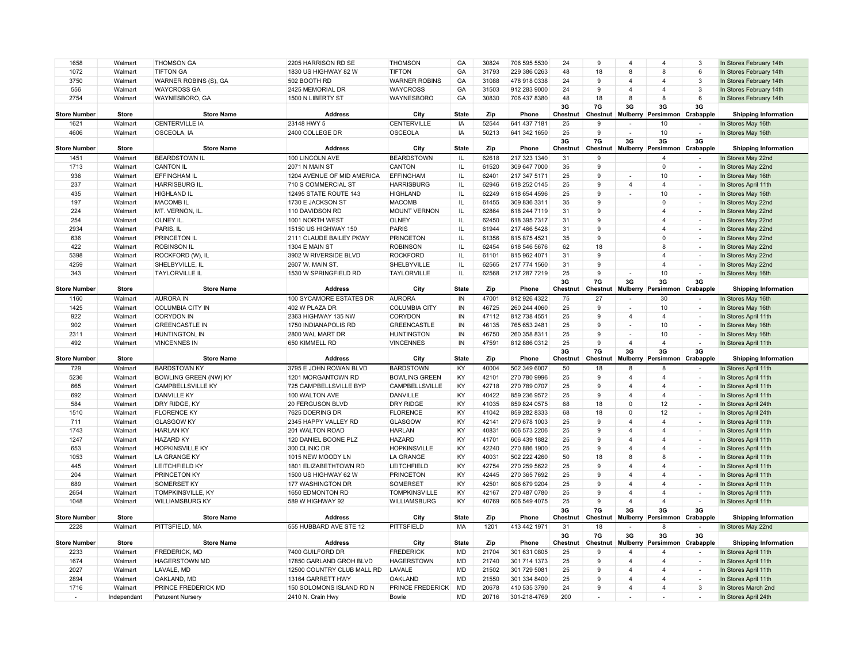| 1658                | Walmart                | <b>THOMSON GA</b>                       | 2205 HARRISON RD SE                           | <b>THOMSON</b>                   | GA              | 30824          | 706 595 5530                 | 24             | 9                  | $\overline{4}$           | $\overline{4}$                | 3                                  | In Stores February 14th                           |
|---------------------|------------------------|-----------------------------------------|-----------------------------------------------|----------------------------------|-----------------|----------------|------------------------------|----------------|--------------------|--------------------------|-------------------------------|------------------------------------|---------------------------------------------------|
| 1072                | Walmart                | <b>TIFTON GA</b>                        | 1830 US HIGHWAY 82 W                          | <b>TIFTON</b>                    | GA              | 31793          | 229 386 0263                 | 48             | 18                 | 8                        | 8                             | 6                                  | In Stores February 14th                           |
| 3750                |                        | WARNER ROBINS (S), GA                   |                                               |                                  | GA              | 31088          |                              | 24             | 9                  | $\overline{4}$           | $\overline{4}$                | $\mathbf{3}$                       | In Stores February 14th                           |
|                     | Walmart                |                                         | 502 BOOTH RD                                  | <b>WARNER ROBINS</b>             |                 |                | 478 918 0338                 | 24             | 9                  |                          |                               |                                    |                                                   |
| 556                 | Walmart                | <b>WAYCROSS GA</b>                      | 2425 MEMORIAL DR                              | <b>WAYCROSS</b>                  | GA              | 31503          | 912 283 9000                 |                |                    | $\overline{4}$           | $\overline{4}$                | $\mathbf{3}$                       | In Stores February 14th                           |
| 2754                | Walmart                | WAYNESBORO, GA                          | 1500 N LIBERTY ST                             | WAYNESBORO                       | GA              | 30830          | 706 437 8380                 | 48             | 18                 | 8                        | 8                             | 6                                  | In Stores February 14th                           |
| <b>Store Number</b> | <b>Store</b>           | <b>Store Name</b>                       | <b>Address</b>                                | City                             | <b>State</b>    | Zip            | Phone                        | 3G<br>Chestnut | 7G<br>Chestnut     | 3G<br>Mulberry           | 3G<br>Persimmon               | 3G<br>Crabapple                    | <b>Shipping Information</b>                       |
| 1621                | Walmart                | <b>CENTERVILLE IA</b>                   | 23148 HWY 5                                   | <b>CENTERVILLE</b>               | IA              | 52544          | 641 437 7181                 | 25             | 9                  |                          | 10                            |                                    | In Stores May 16th                                |
| 4606                | Walmart                | OSCEOLA, IA                             | 2400 COLLEGE DR                               | <b>OSCEOLA</b>                   | IA              | 50213          | 641 342 1650                 | 25             | 9                  |                          | 10                            |                                    | In Stores May 16th                                |
|                     |                        |                                         |                                               |                                  |                 |                |                              | 3G             | 7G                 | 3G                       | 3G                            | 3G                                 |                                                   |
| <b>Store Number</b> | <b>Store</b>           | <b>Store Name</b>                       | <b>Address</b>                                | City                             | <b>State</b>    | Zip            | Phone                        | Chestnut       | Chestnut           |                          | Mulberry Persimmon Crabapple  |                                    | <b>Shipping Information</b>                       |
| 1451                | Walmart                | <b>BEARDSTOWN IL</b>                    | 100 LINCOLN AVE                               | <b>BEARDSTOWN</b>                | IL.             | 62618          | 217 323 1340                 | 31             | 9                  |                          | $\overline{4}$                |                                    | In Stores May 22nd                                |
| 1713                | Walmart                | <b>CANTON IL</b>                        | 2071 N MAIN ST                                | CANTON                           | IL              | 61520          | 309 647 7000                 | 35             | 9                  |                          | $\Omega$                      | $\sim$                             | In Stores May 22nd                                |
| 936                 | Walmart                | <b>EFFINGHAM IL</b>                     | 1204 AVENUE OF MID AMERICA                    | <b>EFFINGHAM</b>                 | IL.             | 62401          | 217 347 5171                 | 25             | 9                  |                          | 10                            | ÷.                                 | In Stores May 16th                                |
| 237                 | Walmart                | <b>HARRISBURG IL.</b>                   | 710 S COMMERCIAL ST                           | <b>HARRISBURG</b>                | IL              | 62946          | 618 252 0145                 | 25             | 9                  | $\overline{4}$           | $\overline{4}$                | $\overline{\phantom{a}}$           | In Stores April 11th                              |
| 435                 | Walmart                | <b>HIGHLAND IL</b>                      | 12495 STATE ROUTE 143                         | <b>HIGHLAND</b>                  | IL.             | 62249          | 618 654 4596                 | 25             | 9                  |                          | 10                            | $\sim$                             | In Stores May 16th                                |
| 197                 | Walmart                | <b>MACOMBIL</b>                         | 1730 E JACKSON ST                             | <b>MACOMB</b>                    | IL.             | 61455          | 309 836 3311                 | 35             | 9                  |                          | $\Omega$                      | $\sim$                             | In Stores May 22nd                                |
| 224                 | Walmart                | MT. VERNON, IL.                         | 110 DAVIDSON RD                               | <b>MOUNT VERNON</b>              | IL              | 62864          | 618 244 7119                 | 31             | 9                  |                          | $\overline{4}$                | $\sim$                             | In Stores May 22nd                                |
| 254                 | Walmart                | OLNEY IL.                               | 1001 NORTH WEST                               | <b>OLNEY</b>                     | IL              | 62450          | 618 395 7317                 | 31             | 9                  |                          | $\overline{\mathbf{4}}$       | $\overline{\phantom{a}}$           | In Stores May 22nd                                |
| 2934                | Walmart                | PARIS, IL                               | 15150 US HIGHWAY 150                          | <b>PARIS</b>                     | $\mathsf{IL}$   | 61944          | 217 466 5428                 | 31             | 9                  |                          | $\overline{\mathbf{4}}$       | $\sim$                             | In Stores May 22nd                                |
| 636                 | Walmart                | PRINCETON IL                            | 2111 CLAUDE BAILEY PKWY                       | <b>PRINCETON</b>                 | IL              | 61356          | 815 875 4521                 | 35             | 9                  |                          | $\mathbf 0$                   | $\sim$                             | In Stores May 22nd                                |
| 422                 | Walmart                | <b>ROBINSON IL</b>                      | 1304 E MAIN ST                                | <b>ROBINSON</b>                  | IL              | 62454          | 618 546 5676                 | 62             | 18                 |                          | 8                             | $\sim$                             | In Stores May 22nd                                |
| 5398                | Walmart                | ROCKFORD (W), IL                        | 3902 W RIVERSIDE BLVD                         | <b>ROCKFORD</b>                  | IL              | 61101          | 815 962 4071                 | 31             | 9                  |                          | $\overline{4}$                | $\sim$                             | In Stores May 22nd                                |
| 4259                | Walmart                | SHELBYVILLE, IL                         | 2607 W. MAIN ST.                              | SHELBYVILLE                      | IL.             | 62565          | 217 774 1560                 | 31             | 9                  |                          | $\overline{4}$                | $\overline{\phantom{a}}$           | In Stores May 22nd                                |
| 343                 | Walmart                | <b>TAYLORVILLE IL</b>                   | 1530 W SPRINGFIELD RD                         | <b>TAYLORVILLE</b>               | IL.             | 62568          | 217 287 7219                 | 25             | 9                  |                          | 10                            | $\overline{\phantom{a}}$           | In Stores May 16th                                |
|                     |                        |                                         |                                               |                                  |                 |                |                              | 3G             | 7G                 | 3G                       | 3G                            | 3G                                 |                                                   |
| <b>Store Number</b> | Store                  | <b>Store Name</b>                       | Address                                       | City                             | <b>State</b>    | Zip            | Phone                        | Chestnut       | Chestnut           | Mulberry                 | Persimmon                     | Crabapple                          | <b>Shipping Information</b>                       |
| 1160                | Walmart                | <b>AURORA IN</b>                        | 100 SYCAMORE ESTATES DR                       | <b>AURORA</b>                    | IN              | 47001          | 812 926 4322                 | 75             | 27                 | $\overline{\phantom{a}}$ | 30                            | $\sim$                             | In Stores May 16th                                |
| 1425                | Walmart                | <b>COLUMBIA CITY IN</b>                 | 402 W PLAZA DR                                | <b>COLUMBIA CITY</b>             | IN              | 46725          | 260 244 4060                 | 25             | 9                  |                          | 10                            |                                    | In Stores May 16th                                |
| 922                 | Walmart                | <b>CORYDON IN</b>                       | 2363 HIGHWAY 135 NW                           | <b>CORYDON</b>                   | ${\sf IN}$      | 47112          | 812 738 4551                 | 25             | $\mathbf{q}$       | $\overline{4}$           | $\overline{4}$                | $\sim$                             | In Stores April 11th                              |
| 902                 | Walmart                | <b>GREENCASTLE IN</b>                   | 1750 INDIANAPOLIS RD                          | <b>GREENCASTLE</b>               | IN              | 46135          | 765 653 2481                 | 25             | 9                  |                          | 10                            | $\sim$                             | In Stores May 16th                                |
| 2311                | Walmart                | HUNTINGTON, IN                          | 2800 WAL MART DR                              | <b>HUNTINGTON</b>                | IN              | 46750          | 260 358 8311                 | 25             | 9                  | $\overline{\phantom{a}}$ | 10                            |                                    |                                                   |
| 492                 | Walmart                | <b>VINCENNES IN</b>                     | 650 KIMMELL RD                                | <b>VINCENNES</b>                 | IN              | 47591          | 812 886 0312                 | 25             | 9                  | $\overline{4}$           | $\overline{4}$                | $\overline{\phantom{a}}$<br>$\sim$ | In Stores May 16th<br>In Stores April 11th        |
|                     |                        |                                         |                                               |                                  |                 |                |                              | 3G             | 7G                 | 3G                       | 3G                            | 3G                                 |                                                   |
| <b>Store Number</b> | <b>Store</b>           | <b>Store Name</b>                       | <b>Address</b>                                | City                             | <b>State</b>    | Zip            | Phone                        | Chestnut       | Chestnut           | <b>Mulberry</b>          | Persimmon                     | Crabapple                          | <b>Shipping Information</b>                       |
|                     |                        |                                         |                                               |                                  |                 |                | 502 349 6007                 |                |                    |                          |                               |                                    |                                                   |
| 729                 | Walmart                | <b>BARDSTOWN KY</b>                     | 3795 E JOHN ROWAN BLVD                        | <b>BARDSTOWN</b>                 | KY              | 40004          |                              | 50             | 18                 | 8                        | 8                             | $\sim$                             | In Stores April 11th                              |
| 5236                | Walmart                | <b>BOWLING GREEN (NW) KY</b>            | 1201 MORGANTOWN RD                            | <b>BOWLING GREEN</b>             | KY              | 42101          | 270 780 9996                 | 25             | 9                  | 4                        | $\overline{4}$                | $\sim$                             | In Stores April 11th                              |
|                     |                        |                                         |                                               |                                  |                 |                |                              |                | 9                  | $\overline{4}$           | $\overline{4}$                | $\sim$                             |                                                   |
| 665                 | Walmart                | <b>CAMPBELLSVILLE KY</b>                | 725 CAMPBELLSVILLE BYP                        | CAMPBELLSVILLE                   | KY              | 42718          | 270 789 0707                 | 25             |                    | $\overline{4}$           |                               | ÷,                                 | In Stores April 11th                              |
| 692                 | Walmart                | <b>DANVILLE KY</b>                      | 100 WALTON AVE                                | DANVILLE                         | KY              | 40422          | 859 236 9572                 | 25<br>68       | 9                  | $\Omega$                 | $\overline{4}$                | $\overline{\phantom{a}}$           | In Stores April 11th                              |
| 584                 | Walmart                | DRY RIDGE, KY                           | 20 FERGUSON BLVD                              | <b>DRY RIDGE</b>                 | KY              | 41035          | 859 824 0575                 |                | 18                 | $\Omega$                 | 12                            | $\sim$                             | In Stores April 24th                              |
| 1510                | Walmart                | <b>FLORENCE KY</b>                      | 7625 DOERING DR                               | <b>FLORENCE</b>                  | KY              | 41042          | 859 282 8333                 | 68             | 18<br>$\mathbf{q}$ | $\Delta$                 | 12<br>$\overline{\mathbf{A}}$ |                                    | In Stores April 24th                              |
| 711                 | Walmart                | <b>GLASGOW KY</b>                       | 2345 HAPPY VALLEY RD                          | GLASGOW                          | KY              | 42141          | 270 678 1003                 | 25             |                    |                          |                               | $\overline{\phantom{a}}$           | In Stores April 11th                              |
| 1743                | Walmart                | <b>HARLAN KY</b>                        | 201 WALTON ROAD                               | <b>HARLAN</b>                    | KY              | 40831          | 606 573 2206                 | 25             | 9                  | 4                        | $\overline{4}$                | $\sim$                             | In Stores April 11th                              |
| 1247                | Walmart                | <b>HAZARD KY</b>                        | 120 DANIEL BOONE PLZ                          | <b>HAZARD</b>                    | KY              | 41701          | 606 439 1882                 | 25             | 9                  | 4                        | $\overline{4}$                | $\overline{\phantom{a}}$           | In Stores April 11th                              |
| 653                 | Walmart                | <b>HOPKINSVILLE KY</b>                  | 300 CLINIC DR                                 | <b>HOPKINSVILLE</b>              | KY              | 42240          | 270 886 1900                 | 25             | 9                  | $\overline{4}$           | $\overline{4}$                | $\sim$                             | In Stores April 11th                              |
| 1053                | Walmart                | LA GRANGE KY                            | 1015 NEW MOODY LN                             | LA GRANGE                        | KY              | 40031          | 502 222 4260                 | 50             | 18                 | 8                        | 8                             | $\sim$                             | In Stores April 11th                              |
| 445                 | Walmart                | <b>LEITCHFIELD KY</b>                   | 1801 ELIZABETHTOWN RD                         | <b>LEITCHFIELD</b>               | KY              | 42754          | 270 259 5622                 | 25             | 9                  | 4                        | $\overline{4}$                | $\overline{\phantom{a}}$           | In Stores April 11th                              |
| 204                 | Walmart                | PRINCETON KY                            | 1500 US HIGHWAY 62 W                          | <b>PRINCETON</b>                 | KY              | 42445          | 270 365 7692                 | 25             | 9                  | $\overline{4}$           | $\overline{4}$                | $\sim$                             | In Stores April 11th                              |
| 689                 | Walmart                | SOMERSET KY                             | 177 WASHINGTON DR                             | SOMERSET                         | KY              | 42501          | 606 679 9204                 | 25             | 9                  | $\overline{4}$           | $\overline{4}$                | $\overline{\phantom{a}}$           | In Stores April 11th                              |
| 2654                | Walmart                | <b>TOMPKINSVILLE, KY</b>                | 1650 EDMONTON RD                              | <b>TOMPKINSVILLE</b>             | KY              | 42167          | 270 487 0780                 | 25             | 9                  | $\overline{4}$           | $\overline{4}$                | $\sim$                             | In Stores April 11th                              |
| 1048                | Walmart                | <b>WILLIAMSBURG KY</b>                  | 589 W HIGHWAY 92                              | WILLIAMSBURG                     | KY              | 40769          | 606 549 4075                 | 25             | 9                  | $\overline{4}$           | $\overline{4}$                |                                    | In Stores April 11th                              |
| <b>Store Number</b> | Store                  | <b>Store Name</b>                       | <b>Address</b>                                | City                             | <b>State</b>    | Zip            | Phone                        | 3G             | 7G<br>Chestnut     | 3G<br>Mulberry           | 3G<br>Persimmon Crabapple     | 3G                                 |                                                   |
| 2228                | Walmart                | PITTSFIELD, MA                          | 555 HUBBARD AVE STE 12                        | <b>PITTSFIELD</b>                | MA              | 1201           | 413 442 1971                 | Chestnut<br>31 | 18                 |                          | 8                             |                                    | <b>Shipping Information</b><br>In Stores May 22nd |
|                     |                        |                                         |                                               |                                  |                 |                |                              | 3G             | 7G                 | 3G                       | 3G                            | 3G                                 |                                                   |
| <b>Store Number</b> | <b>Store</b>           | <b>Store Name</b>                       | <b>Address</b>                                | City                             | <b>State</b>    | Zip            | Phone                        | Chestnut       | Chestnut           | <b>Mulberry</b>          | Persimmon Crabapple           |                                    | <b>Shipping Information</b>                       |
| 2233                | Walmart                | <b>FREDERICK, MD</b>                    | 7400 GUILFORD DR                              | <b>FREDERICK</b>                 | <b>MD</b>       | 21704          | 301 631 0805                 | 25             | 9                  | $\overline{4}$           | $\overline{4}$                |                                    | In Stores April 11th                              |
| 1674                | Walmart                | <b>HAGERSTOWN MD</b>                    | 17850 GARLAND GROH BLVD                       | <b>HAGERSTOWN</b>                | <b>MD</b>       | 21740          | 301 714 1373                 | 25             | 9                  | $\overline{4}$           | $\overline{4}$                | $\overline{\phantom{a}}$           | In Stores April 11th                              |
| 2027                | Walmart                | LAVALE, MD                              | 12500 COUNTRY CLUB MALL RD                    | LAVALE                           | <b>MD</b>       | 21502          | 301 729 5081                 | 25             | 9                  | $\overline{4}$           | $\overline{\mathbf{A}}$       | $\sim$                             | In Stores April 11th                              |
| 2894                | Walmart                | OAKLAND, MD                             | 13164 GARRETT HWY                             | <b>OAKLAND</b>                   | <b>MD</b>       | 21550          | 301 334 8400                 | 25             | 9                  | $\overline{4}$           | $\overline{4}$                | $\sim$                             | In Stores April 11th                              |
| 1716                | Walmart<br>Independant | PRINCE FREDERICK MD<br>Patuxent Nursery | 150 SOLOMONS ISLAND RD N<br>2410 N. Crain Hwy | <b>PRINCE FREDERICK</b><br>Bowie | <b>MD</b><br>MD | 20678<br>20716 | 410 535 3790<br>301-218-4769 | 24<br>200      | 9                  | $\overline{4}$           | $\overline{4}$                | 3                                  | In Stores March 2nd<br>In Stores April 24th       |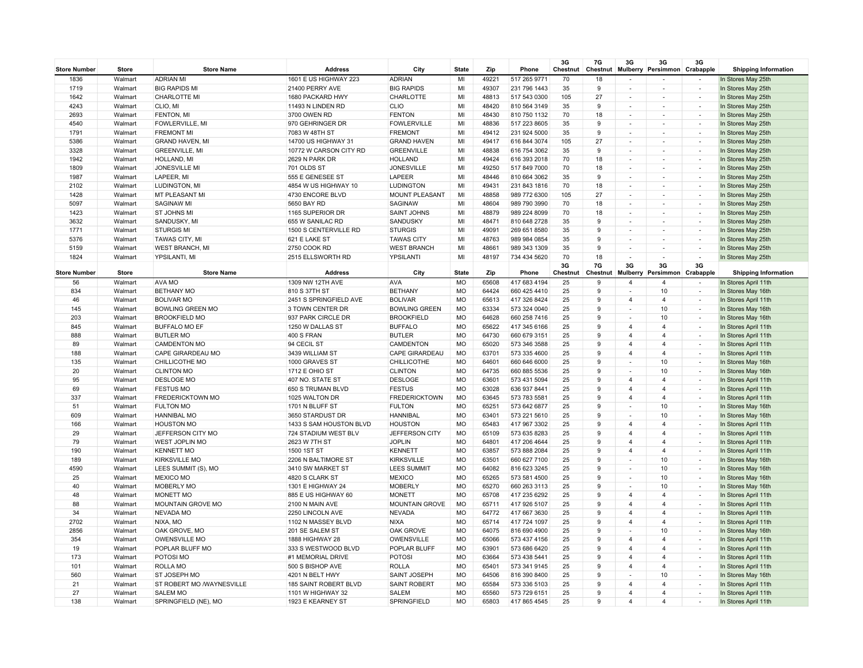| <b>Store Number</b> | <b>Store</b> | <b>Store Name</b>         | <b>Address</b>          | City                 | <b>State</b> | Zip   | Phone        | 3G<br>Chestnut | 7G<br>Chestnut | 3G                       | 3G<br>Mulberry Persimmon Crabapple | 3G                       | <b>Shipping Information</b> |
|---------------------|--------------|---------------------------|-------------------------|----------------------|--------------|-------|--------------|----------------|----------------|--------------------------|------------------------------------|--------------------------|-----------------------------|
| 1836                | Walmart      | <b>ADRIAN MI</b>          | 1601 E US HIGHWAY 223   | <b>ADRIAN</b>        | MI           | 49221 | 517 265 9771 | 70             | 18             |                          |                                    | $\overline{\phantom{a}}$ | In Stores May 25th          |
| 1719                | Walmart      | <b>BIG RAPIDS MI</b>      | 21400 PERRY AVE         | <b>BIG RAPIDS</b>    | MI           | 49307 | 231 796 1443 | 35             | 9              |                          |                                    | $\overline{\phantom{a}}$ | In Stores May 25th          |
| 1642                | Walmart      | CHARLOTTE MI              | 1680 PACKARD HWY        | CHARLOTTE            | MI           | 48813 | 517 543 0300 | 105            | 27             |                          |                                    |                          | In Stores May 25th          |
| 4243                | Walmart      | CLIO, MI                  | 11493 N LINDEN RD       | <b>CLIO</b>          | MI           | 48420 | 810 564 3149 | 35             | 9              | $\overline{\phantom{a}}$ | $\overline{\phantom{a}}$           | $\overline{\phantom{a}}$ | In Stores May 25th          |
| 2693                | Walmart      | FENTON, MI                | 3700 OWEN RD            | <b>FENTON</b>        | MI           | 48430 | 810 750 1132 | 70             | 18             |                          |                                    | $\sim$                   | In Stores May 25th          |
| 4540                | Walmart      | <b>FOWLERVILLE, MI</b>    | 970 GEHRINGER DR        | <b>FOWLERVILLE</b>   | MI           | 48836 | 517 223 8605 | 35             | 9              |                          |                                    | $\sim$                   | In Stores May 25th          |
| 1791                | Walmart      | <b>FREMONT MI</b>         | 7083 W 48TH ST          | <b>FREMONT</b>       | MI           | 49412 | 231 924 5000 | 35             | 9              |                          |                                    | $\overline{\phantom{a}}$ | In Stores May 25th          |
| 5386                | Walmart      | <b>GRAND HAVEN, MI</b>    | 14700 US HIGHWAY 31     | <b>GRAND HAVEN</b>   | MI           | 49417 | 616 844 3074 | 105            | 27             |                          |                                    | $\overline{\phantom{a}}$ | In Stores May 25th          |
| 3328                | Walmart      | <b>GREENVILLE, MI</b>     | 10772 W CARSON CITY RD  | <b>GREENVILLE</b>    | MI           | 48838 | 616 754 3062 | 35             | 9              |                          | $\sim$                             | $\overline{\phantom{a}}$ | In Stores May 25th          |
| 1942                | Walmart      | HOLLAND, MI               | 2629 N PARK DR          | <b>HOLLAND</b>       | MI           | 49424 | 616 393 2018 | 70             | 18             |                          |                                    | $\overline{\phantom{a}}$ | In Stores May 25th          |
| 1809                | Walmart      | <b>JONESVILLE MI</b>      | 701 OLDS ST             | <b>JONESVILLE</b>    | MI           | 49250 | 517 849 7000 | 70             | 18             |                          |                                    | $\overline{\phantom{a}}$ | In Stores May 25th          |
| 1987                | Walmart      | LAPEER, MI                | 555 E GENESEE ST        | LAPEER               | MI           | 48446 | 810 664 3062 | 35             | 9              |                          |                                    | $\overline{\phantom{a}}$ | In Stores May 25th          |
| 2102                | Walmart      | LUDINGTON, MI             | 4854 W US HIGHWAY 10    | <b>LUDINGTON</b>     | MI           | 49431 | 231 843 1816 | 70             | 18             | $\overline{\phantom{a}}$ |                                    | $\sim$                   | In Stores May 25th          |
| 1428                | Walmart      | MT PLEASANT MI            | 4730 ENCORE BLVD        | MOUNT PLEASANT       | MI           | 48858 | 989 772 6300 | 105            | 27             |                          |                                    | $\sim$                   | In Stores May 25th          |
| 5097                | Walmart      | <b>SAGINAW MI</b>         | 5650 BAY RD             | SAGINAW              | MI           | 48604 | 989 790 3990 | 70             | 18             |                          |                                    |                          | In Stores May 25th          |
| 1423                | Walmart      | <b>ST JOHNS MI</b>        | 1165 SUPERIOR DR        | <b>SAINT JOHNS</b>   | MI           | 48879 | 989 224 8099 | 70             | 18             |                          | $\sim$                             | $\overline{\phantom{a}}$ | In Stores May 25th          |
| 3632                | Walmart      | SANDUSKY, MI              | 655 W SANILAC RD        | SANDUSKY             | MI           | 48471 | 810 648 2728 | 35             | 9              |                          |                                    | i.                       | In Stores May 25th          |
| 1771                | Walmart      | <b>STURGIS MI</b>         | 1500 S CENTERVILLE RD   | <b>STURGIS</b>       | MI           | 49091 | 269 651 8580 | 35             | 9              | $\overline{\phantom{a}}$ | $\overline{\phantom{a}}$           | $\overline{\phantom{a}}$ | In Stores May 25th          |
| 5376                | Walmart      | <b>TAWAS CITY, MI</b>     | 621 E LAKE ST           | <b>TAWAS CITY</b>    | MI           | 48763 | 989 984 0854 | 35             | 9              |                          |                                    | $\sim$                   | In Stores May 25th          |
| 5159                | Walmart      | <b>WEST BRANCH, MI</b>    | 2750 COOK RD            | <b>WEST BRANCH</b>   | MI           | 48661 | 989 343 1309 | 35             | 9              |                          |                                    | $\overline{\phantom{a}}$ | In Stores May 25th          |
| 1824                | Walmart      | YPSILANTI, MI             | 2515 ELLSWORTH RD       | YPSILANT             | MI           | 48197 | 734 434 5620 | 70             | 18             |                          |                                    | $\sim$                   | In Stores May 25th          |
| <b>Store Number</b> | <b>Store</b> | <b>Store Name</b>         | <b>Address</b>          | City                 | <b>State</b> | Zip   | Phone        | 3G<br>Chestnut | 7G<br>Chestnut | 3G<br>Mulberry           | 3G<br>Persimmon                    | 3G<br>Crabapple          | <b>Shipping Information</b> |
| 56                  | Walmart      | AVA MO                    | 1309 NW 12TH AVE        | AVA                  | <b>MO</b>    | 65608 | 417 683 4194 | 25             | 9              | $\overline{4}$           | $\overline{\mathbf{4}}$            | $\overline{\phantom{a}}$ | In Stores April 11th        |
| 834                 | Walmart      | <b>BETHANY MO</b>         | 810 S 37TH ST           | <b>BETHANY</b>       | MO           | 64424 | 660 425 4410 | 25             | 9              |                          | 10                                 | $\sim$                   | In Stores May 16th          |
| 46                  | Walmart      | <b>BOLIVAR MO</b>         | 2451 S SPRINGFIELD AVE  | <b>BOLIVAR</b>       | MO           | 65613 | 417 326 8424 | 25             | 9              | $\overline{a}$           | $\overline{4}$                     | $\sim$                   | In Stores April 11th        |
| 145                 | Walmart      | <b>BOWLING GREEN MO</b>   | 3 TOWN CENTER DR        | <b>BOWLING GREEN</b> | <b>MO</b>    | 63334 | 573 324 0040 | 25             | 9              |                          | 10                                 | ÷                        | In Stores May 16th          |
| 203                 | Walmart      | <b>BROOKFIELD MO</b>      | 937 PARK CIRCLE DR      | <b>BROOKFIELD</b>    | MO           | 64628 | 660 258 7416 | 25             | 9              |                          | 10                                 | $\overline{\phantom{a}}$ | In Stores May 16th          |
| 845                 | Walmart      | <b>BUFFALO MO EF</b>      | 1250 W DALLAS ST        | <b>BUFFALO</b>       | <b>MO</b>    | 65622 | 417 345 6166 | 25             | 9              | $\overline{4}$           | $\overline{4}$                     | $\sim$                   | In Stores April 11th        |
| 888                 | Walmart      | <b>BUTLER MO</b>          | 400 S FRAN              | <b>BUTLER</b>        | MO           | 64730 | 660 679 3151 | 25             | 9              |                          | $\overline{4}$                     |                          | In Stores April 11th        |
| 89                  | Walmart      | <b>CAMDENTON MO</b>       | 94 CECIL ST             | CAMDENTON            | MO           | 65020 | 573 346 3588 | 25             | 9              | $\overline{a}$           | $\overline{4}$                     | $\overline{\phantom{a}}$ | In Stores April 11th        |
| 188                 | Walmart      | CAPE GIRARDEAU MO         | 3439 WILLIAM ST         | CAPE GIRARDEAU       | <b>MO</b>    | 63701 | 573 335 4600 | 25             | 9              |                          | $\overline{4}$                     | $\sim$                   | In Stores April 11th        |
| 135                 | Walmart      | CHILLICOTHE MO            | 1000 GRAVES ST          | CHILLICOTHE          | MO           | 64601 | 660 646 6000 | 25             | 9              | $\overline{\phantom{a}}$ | 10                                 | $\sim$                   | In Stores May 16th          |
| 20                  | Walmart      | <b>CLINTON MO</b>         | 1712 E OHIO ST          | <b>CLINTON</b>       | <b>MO</b>    | 64735 | 660 885 5536 | 25             | 9              |                          | 10                                 | $\sim$                   | In Stores May 16th          |
| 95                  | Walmart      | <b>DESLOGE MO</b>         | 407 NO. STATE ST        | <b>DESLOGE</b>       | MO           | 63601 | 573 431 5094 | 25             | 9              |                          | $\overline{4}$                     | $\overline{\phantom{a}}$ | In Stores April 11th        |
| 69                  | Walmart      | <b>FESTUS MO</b>          | 650 S TRUMAN BLVD       | <b>FESTUS</b>        | <b>MO</b>    | 63028 | 636 937 8441 | 25             | 9              | $\overline{4}$           | $\overline{4}$                     | $\overline{\phantom{a}}$ | In Stores April 11th        |
| 337                 | Walmart      | FREDERICKTOWN MO          | 1025 WALTON DR          | <b>FREDERICKTOWN</b> | <b>MO</b>    | 63645 | 573 783 5581 | 25             | 9              |                          | $\overline{4}$                     |                          | In Stores April 11th        |
| 51                  | Walmart      | <b>FULTON MO</b>          | 1701 N BLUFF ST         | <b>FULTON</b>        | MO           | 65251 | 573 642 6877 | 25             | 9              | $\overline{\phantom{a}}$ | 10                                 | $\overline{\phantom{a}}$ | In Stores May 16th          |
| 609                 | Walmart      | <b>HANNIBAL MO</b>        | 3650 STARDUST DR        | <b>HANNIBAL</b>      | MO           | 63401 | 573 221 5610 | 25             | 9              |                          | 10                                 | $\sim$                   | In Stores May 16th          |
| 166                 | Walmart      | <b>HOUSTON MO</b>         | 1433 S SAM HOUSTON BLVD | <b>HOUSTON</b>       | MO           | 65483 | 417 967 3302 | 25             | $\mathbf{q}$   | Δ                        | $\overline{4}$                     | $\overline{\phantom{a}}$ | In Stores April 11th        |
| 29                  | Walmart      | JEFFERSON CITY MO         | 724 STADIUM WEST BLV    | JEFFERSON CITY       | <b>MO</b>    | 65109 | 573 635 8283 | 25             | 9              | $\overline{4}$           | $\overline{4}$                     | $\overline{\phantom{a}}$ | In Stores April 11th        |
| 79                  | Walmart      | <b>WEST JOPLIN MO</b>     | 2623 W 7TH ST           | <b>JOPLIN</b>        | MO           | 64801 | 417 206 4644 | 25             | 9              |                          | $\overline{4}$                     | $\overline{\phantom{a}}$ | In Stores April 11th        |
| 190                 | Walmart      | <b>KENNETT MO</b>         | 1500 1ST ST             | <b>KENNETT</b>       | MO           | 63857 | 573 888 2084 | 25             | 9              | $\overline{4}$           | $\overline{4}$                     | $\sim$                   | In Stores April 11th        |
| 189                 | Walmart      | <b>KIRKSVILLE MO</b>      | 2206 N BALTIMORE ST     | <b>KIRKSVILLE</b>    | MO           | 63501 | 660 627 7100 | 25             | 9              |                          | 10                                 | $\overline{\phantom{a}}$ | In Stores May 16th          |
| 4590                | Walmart      | LEES SUMMIT (S), MO       | 3410 SW MARKET ST       | <b>LEES SUMMIT</b>   | MO           | 64082 | 816 623 3245 | 25             | 9              |                          | 10                                 | $\sim$                   | In Stores May 16th          |
| 25                  | Walmart      | MEXICO MO                 | 4820 S CLARK ST         | <b>MEXICO</b>        | MO           | 65265 | 573 581 4500 | 25             | 9              |                          | 10                                 | ÷                        | In Stores May 16th          |
| 40                  | Walmart      | <b>MOBERLY MO</b>         | 1301 E HIGHWAY 24       | <b>MOBERLY</b>       | <b>MO</b>    | 65270 | 660 263 3113 | 25             | 9              |                          | 10                                 | $\overline{\phantom{a}}$ | In Stores May 16th          |
| 48                  | Walmart      | MONETT MO                 | 885 E US HIGHWAY 60     | <b>MONETT</b>        | MO           | 65708 | 417 235 6292 | 25             | 9              | $\overline{4}$           | $\overline{4}$                     | $\sim$                   | In Stores April 11th        |
| 88                  | Walmart      | MOUNTAIN GROVE MO         | 2100 N MAIN AVE         | MOUNTAIN GROVE       | MO           | 65711 | 417 926 5107 | 25             | 9              |                          | $\overline{4}$                     | $\overline{\phantom{a}}$ | In Stores April 11th        |
| 34                  | Walmart      | <b>NEVADA MO</b>          | 2250 LINCOLN AVE        | <b>NEVADA</b>        | MO           | 64772 | 417 667 3630 | 25             | 9              | $\Delta$                 | $\overline{4}$                     | $\overline{\phantom{a}}$ | In Stores April 11th        |
| 2702                | Walmart      | NIXA, MO                  | 1102 N MASSEY BLVD      | <b>NIXA</b>          | <b>MO</b>    | 65714 | 417 724 1097 | 25             | 9              | $\overline{a}$           | $\overline{4}$                     | $\overline{\phantom{a}}$ | In Stores April 11th        |
| 2856                | Walmart      | OAK GROVE, MO             | 201 SE SALEM ST         | OAK GROVE            | <b>MO</b>    | 64075 | 816 690 4900 | 25             | 9              |                          | 10                                 | $\sim$                   | In Stores May 16th          |
| 354                 | Walmart      | <b>OWENSVILLE MO</b>      | 1888 HIGHWAY 28         | OWENSVILLE           | <b>MO</b>    | 65066 | 573 437 4156 | 25             | 9              | $\Delta$                 | $\overline{4}$                     | $\sim$                   | In Stores April 11th        |
| 19                  | Walmart      | POPLAR BLUFF MO           | 333 S WESTWOOD BLVD     | POPLAR BLUFF         | <b>MO</b>    | 63901 | 573 686 6420 | 25             | 9              |                          | $\overline{4}$                     | $\sim$                   | In Stores April 11th        |
| 173                 | Walmart      | POTOSI MO                 | #1 MEMORIAL DRIVE       | <b>POTOSI</b>        | <b>MO</b>    | 63664 | 573 438 5441 | 25             | 9              |                          | $\overline{4}$                     | $\overline{\phantom{a}}$ | In Stores April 11th        |
| 101                 | Walmart      | ROLLA MO                  | 500 S BISHOP AVE        | <b>ROLLA</b>         | MO           | 65401 | 573 341 9145 | 25             | 9              |                          | $\overline{4}$                     |                          | In Stores April 11th        |
| 560                 | Walmart      | ST JOSEPH MO              | 4201 N BELT HWY         | <b>SAINT JOSEPH</b>  | MO           | 64506 | 816 390 8400 | 25             | 9              |                          | 10                                 | $\overline{\phantom{a}}$ | In Stores May 16th          |
| 21                  | Walmart      | ST ROBERT MO /WAYNESVILLE | 185 SAINT ROBERT BLVD   | <b>SAINT ROBERT</b>  | MO           | 65584 | 573 336 5103 | 25             | 9              |                          | $\overline{4}$                     | $\sim$                   | In Stores April 11th        |
| 27                  | Walmart      | <b>SALEM MO</b>           | 1101 W HIGHWAY 32       | <b>SALEM</b>         | MO           | 65560 | 573 729 6151 | 25             | $\mathbf{q}$   | $\Delta$                 | $\overline{4}$                     | $\sim$                   | In Stores April 11th        |
| 138                 | Walmart      | SPRINGFIELD (NE), MO      | 1923 E KEARNEY ST       | SPRINGFIELD          | <b>MO</b>    | 65803 | 417 865 4545 | 25             | $\mathbf{q}$   |                          | $\overline{4}$                     | $\sim$                   | In Stores April 11th        |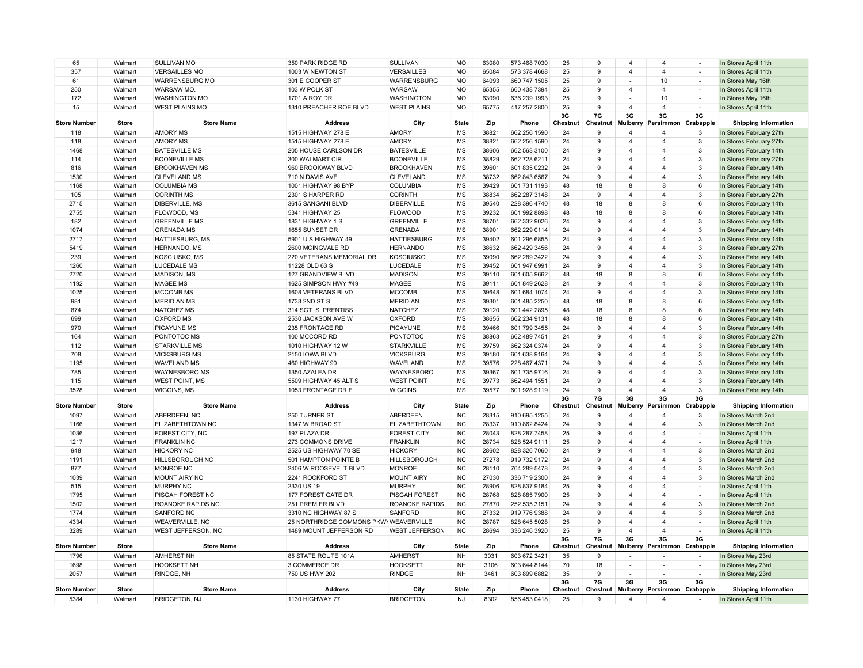| 65                  | Walmart      | <b>SULLIVAN MO</b>      | 350 PARK RIDGE RD                      | SULLIVAN              | <b>MO</b>    | 63080 | 573 468 7030 | 25             | 9              | $\overline{4}$           | $\overline{4}$          | $\sim$                   | In Stores April 11th        |
|---------------------|--------------|-------------------------|----------------------------------------|-----------------------|--------------|-------|--------------|----------------|----------------|--------------------------|-------------------------|--------------------------|-----------------------------|
| 357                 | Walmart      | <b>VERSAILLES MO</b>    | 1003 W NEWTON ST                       | <b>VERSAILLES</b>     | <b>MO</b>    | 65084 | 573 378 4668 | 25             | $\mathbf{q}$   | $\overline{4}$           | $\overline{4}$          | $\overline{\phantom{a}}$ | In Stores April 11th        |
| 61                  | Walmart      | <b>WARRENSBURG MO</b>   | 301 E COOPER ST                        | <b>WARRENSBURG</b>    | <b>MO</b>    | 64093 | 660 747 1505 | 25             | 9              |                          | 10                      | $\sim$                   | In Stores May 16th          |
| 250                 | Walmart      | WARSAW MO.              | 103 W POLK ST                          | WARSAW                | <b>MO</b>    | 65355 | 660 438 7394 | 25             | 9              | $\overline{4}$           | $\overline{4}$          | $\overline{\phantom{a}}$ | In Stores April 11th        |
| 172                 | Walmart      | <b>WASHINGTON MO</b>    | 1701 A ROY DR                          | <b>WASHINGTON</b>     | <b>MO</b>    | 63090 | 636 239 1993 | 25             | 9              |                          | 10                      | $\sim$                   | In Stores May 16th          |
| 15                  | Walmart      | <b>WEST PLAINS MO</b>   | 1310 PREACHER ROE BLVD                 | <b>WEST PLAINS</b>    | MO           | 65775 | 417 257 2800 | 25             | 9              | $\overline{4}$           | $\overline{4}$          |                          | In Stores April 11th        |
|                     |              |                         |                                        |                       |              |       |              | 3G             | 7G             | 3G                       | 3G                      | 3G                       |                             |
| <b>Store Number</b> | <b>Store</b> | <b>Store Name</b>       | <b>Address</b>                         | City                  | <b>State</b> | Zip   | Phone        | Chestnut       | Chestnut       | Mulberry                 | Persimmon Crabapple     |                          | <b>Shipping Information</b> |
| 118                 | Walmart      | <b>AMORY MS</b>         | 1515 HIGHWAY 278 E                     | <b>AMORY</b>          | MS           | 38821 | 662 256 1590 | 24             | 9              | 4                        | $\overline{4}$          | 3                        | In Stores February 27th     |
| 118                 | Walmart      | <b>AMORY MS</b>         | 1515 HIGHWAY 278 E                     | <b>AMORY</b>          | MS           | 38821 | 662 256 1590 | 24             | 9              | $\overline{4}$           | $\overline{4}$          | $\mathbf{3}$             | In Stores February 27th     |
| 1468                | Walmart      | <b>BATESVILLE MS</b>    | 205 HOUSE CARLSON DR                   | <b>BATESVILLE</b>     | MS           | 38606 | 662 563 3100 | 24             | $\mathbf{q}$   | $\overline{4}$           | $\overline{\mathbf{A}}$ | 3                        | In Stores February 14th     |
| 114                 | Walmart      | <b>BOONEVILLE MS</b>    | 300 WALMART CIR                        | <b>BOONEVILLE</b>     | <b>MS</b>    | 38829 | 662 728 6211 | 24             | 9              | $\boldsymbol{\Delta}$    | $\overline{4}$          | $\overline{3}$           | In Stores February 27th     |
| 816                 | Walmart      | <b>BROOKHAVEN MS</b>    | 960 BROOKWAY BLVD                      | <b>BROOKHAVEN</b>     | <b>MS</b>    | 39601 | 601 835 0232 | 24             | 9              | $\overline{4}$           | $\overline{4}$          | 3                        | In Stores February 14th     |
| 1530                | Walmart      | <b>CLEVELAND MS</b>     | 710 N DAVIS AVE                        | <b>CLEVELAND</b>      | MS           | 38732 | 662 843 6567 | 24             | 9              | 4                        | $\overline{4}$          | 3                        | In Stores February 14th     |
| 1168                | Walmart      | <b>COLUMBIA MS</b>      | 1001 HIGHWAY 98 BYP                    | <b>COLUMBIA</b>       | MS           | 39429 | 601 731 1193 | 48             | 18             | 8                        | 8                       | $_{\rm 6}$               | In Stores February 14th     |
| 105                 | Walmart      | <b>CORINTH MS</b>       | 2301 S HARPER RD                       | <b>CORINTH</b>        | MS           | 38834 | 662 287 3148 | 24             | 9              | $\boldsymbol{\Delta}$    | $\overline{4}$          | 3                        | In Stores February 27th     |
| 2715                | Walmart      | DIBERVILLE, MS          | 3615 SANGANI BLVD                      | <b>DIBERVILLE</b>     | MS           | 39540 | 228 396 4740 | 48             | 18             | 8                        | 8                       | 6                        | In Stores February 14th     |
| 2755                | Walmart      | FLOWOOD, MS             | 5341 HIGHWAY 25                        | <b>FLOWOOD</b>        | MS           | 39232 | 601 992 8898 | 48             | 18             | 8                        | 8                       | 6                        | In Stores February 14th     |
| 182                 | Walmart      | <b>GREENVILLE MS</b>    | 1831 HIGHWAY 1 S                       | <b>GREENVILLE</b>     | <b>MS</b>    | 38701 | 662 332 9026 | 24             | 9              | $\overline{4}$           | $\overline{4}$          | 3                        | In Stores February 14th     |
| 1074                | Walmart      | <b>GRENADA MS</b>       | 1655 SUNSET DR                         | <b>GRENADA</b>        | <b>MS</b>    | 38901 | 662 229 0114 | 24             | 9              | $\overline{4}$           | $\overline{\mathbf{A}}$ | 3                        | In Stores February 14th     |
| 2717                | Walmart      | HATTIESBURG, MS         | 5901 U S HIGHWAY 49                    | <b>HATTIESBURG</b>    | MS           | 39402 | 601 296 6855 | 24             | 9              | $\overline{4}$           | $\overline{4}$          | 3                        | In Stores February 14th     |
| 5419                | Walmart      | HERNANDO, MS            | 2600 MCINGVALE RD                      | <b>HERNANDO</b>       | <b>MS</b>    | 38632 | 662 429 3456 | 24             | 9              | $\overline{4}$           | $\overline{4}$          | $\overline{3}$           | In Stores February 27th     |
| 239                 | Walmart      | KOSCIUSKO, MS.          | 220 VETERANS MEMORIAL DR               | <b>KOSCIUSKO</b>      | MS           | 39090 | 662 289 3422 | 24             | 9              | $\overline{4}$           | $\overline{4}$          | $\mathbf{3}$             | In Stores February 14th     |
| 1260                | Walmart      | <b>LUCEDALE MS</b>      | 11228 OLD 63 S                         | LUCEDALE              | MS           | 39452 | 601 947 6991 | 24             | $\mathbf{q}$   | $\overline{4}$           | $\overline{\mathbf{A}}$ | 3                        | In Stores February 14th     |
| 2720                | Walmart      | <b>MADISON, MS</b>      | 127 GRANDVIEW BLVD                     | <b>MADISON</b>        | MS           | 39110 | 601 605 9662 | 48             | 18             | 8                        | 8                       | 6                        | In Stores February 14th     |
| 1192                | Walmart      | <b>MAGEE MS</b>         | 1625 SIMPSON HWY #49                   | MAGEE                 | <b>MS</b>    | 39111 | 601 849 2628 | 24             | 9              | $\overline{4}$           | $\overline{4}$          | 3                        | In Stores February 14th     |
| 1025                | Walmart      | <b>MCCOMB MS</b>        | 1608 VETERANS BLVD                     | <b>MCCOMB</b>         | <b>MS</b>    | 39648 | 601 684 1074 | 24             | 9              | $\overline{4}$           | $\overline{4}$          | $\overline{3}$           | In Stores February 14th     |
| 981                 | Walmart      | <b>MERIDIAN MS</b>      | 1733 2ND ST S                          | <b>MERIDIAN</b>       | MS           | 39301 | 601 485 2250 | 48             | 18             | 8                        | 8                       | $6\phantom{1}6$          | In Stores February 14th     |
| 874                 | Walmart      | <b>NATCHEZ MS</b>       | 314 SGT. S. PRENTISS                   | <b>NATCHEZ</b>        | MS           | 39120 | 601 442 2895 | 48             | 18             | 8                        | 8                       | $6\phantom{a}$           | In Stores February 14th     |
| 699                 | Walmart      | <b>OXFORD MS</b>        | 2530 JACKSON AVE W                     | <b>OXFORD</b>         | MS           | 38655 | 662 234 9131 | 48             | 18             | 8                        | 8                       | $\,6\,$                  | In Stores February 14th     |
| 970                 | Walmart      | <b>PICAYUNE MS</b>      | 235 FRONTAGE RD                        | PICAYUNE              | MS           | 39466 | 601 799 3455 | 24             | 9              | $\overline{4}$           | $\overline{4}$          | 3                        | In Stores February 14th     |
| 164                 | Walmart      | PONTOTOC MS             | 100 MCCORD RD                          | <b>PONTOTOC</b>       | <b>MS</b>    | 38863 | 662 489 7451 | 24             | 9              | $\overline{4}$           | $\overline{4}$          | 3                        | In Stores February 27th     |
| 112                 | Walmart      | <b>STARKVILLE MS</b>    | 1010 HIGHWAY 12 W                      | <b>STARKVILLE</b>     | MS           | 39759 | 662 324 0374 | 24             | 9              | $\overline{4}$           | $\overline{4}$          | 3                        | In Stores February 14th     |
| 708                 | Walmart      | <b>VICKSBURG MS</b>     | 2150 IOWA BLVD                         | <b>VICKSBURG</b>      | MS           | 39180 | 601 638 9164 | 24             | 9              | $\overline{4}$           | $\overline{4}$          | 3                        | In Stores February 14th     |
| 1195                | Walmart      | <b>WAVELAND MS</b>      | 460 HIGHWAY 90                         | <b>WAVELAND</b>       | MS           | 39576 | 228 467 4371 | 24             | 9              | $\overline{4}$           | $\overline{4}$          | 3                        | In Stores February 14th     |
| 785                 | Walmart      | WAYNESBORO MS           | 1350 AZALEA DR                         | WAYNESBORO            | MS           | 39367 | 601 735 9716 | 24             | 9              | $\overline{4}$           | $\overline{4}$          | $\mathbf{3}$             | In Stores February 14th     |
| 115                 | Walmart      | <b>WEST POINT, MS</b>   | 5509 HIGHWAY 45 ALT S                  | <b>WEST POINT</b>     | MS           | 39773 | 662 494 1551 | 24             | 9              | $\overline{4}$           | $\overline{\mathbf{A}}$ | $\mathbf{3}$             | In Stores February 14th     |
| 3528                | Walmart      | WIGGINS, MS             | 1053 FRONTAGE DR E                     | <b>WIGGINS</b>        | MS           | 39577 | 601 928 9119 | 24             | 9              | $\overline{4}$           | $\overline{4}$          | 3                        | In Stores February 14th     |
|                     |              |                         |                                        |                       |              |       |              | 3G             | 7G             | 3G                       | 3G                      | 3G                       |                             |
| <b>Store Number</b> | Store        | <b>Store Name</b>       | <b>Address</b>                         | City                  | <b>State</b> | Zip   | Phone        | Chestnut       | Chestnut       | Mulberry                 | Persimmon Crabapple     |                          | <b>Shipping Information</b> |
| 1097                | Walmart      | ABERDEEN, NC            | 250 TURNER ST                          | <b>ABERDEEN</b>       | <b>NC</b>    | 28315 | 910 695 1255 | 24             | 9              | $\overline{4}$           | $\overline{4}$          | 3                        | In Stores March 2nd         |
| 1166                | Walmart      | <b>ELIZABETHTOWN NC</b> | 1347 W BROAD ST                        | <b>ELIZABETHTOWN</b>  | <b>NC</b>    | 28337 | 910 862 8424 | 24             | 9              | 4                        | $\overline{4}$          | 3                        | In Stores March 2nd         |
| 1036                | Walmart      | FOREST CITY, NC         | 197 PLAZA DR                           | <b>FOREST CITY</b>    | <b>NC</b>    | 28043 | 828 287 7458 | 25             | 9              | 4                        | $\overline{4}$          | $\overline{\phantom{a}}$ | In Stores April 11th        |
| 1217                | Walmart      | <b>FRANKLIN NC</b>      | 273 COMMONS DRIVE                      | <b>FRANKLIN</b>       | <b>NC</b>    | 28734 | 828 524 9111 | 25             | $\mathbf{q}$   | $\overline{4}$           | $\overline{\mathbf{A}}$ | $\overline{\phantom{a}}$ | In Stores April 11th        |
| 948                 | Walmart      | <b>HICKORY NC</b>       | 2525 US HIGHWAY 70 SE                  | <b>HICKORY</b>        | NC           | 28602 | 828 326 7060 | 24             | 9              | $\overline{4}$           | $\overline{4}$          | 3                        | In Stores March 2nd         |
| 1191                | Walmart      | HILLSBOROUGH NC         | 501 HAMPTON POINTE B                   | <b>HILLSBOROUGH</b>   | <b>NC</b>    | 27278 | 919 732 9172 | 24             | $\mathbf{q}$   | $\overline{4}$           | $\overline{4}$          | 3                        | In Stores March 2nd         |
| 877                 | Walmart      | <b>MONROE NC</b>        | 2406 W ROOSEVELT BLVD                  | <b>MONROE</b>         | <b>NC</b>    | 28110 | 704 289 5478 | 24             | 9              | $\overline{4}$           | $\overline{4}$          | 3                        | In Stores March 2nd         |
| 1039                | Walmart      | MOUNT AIRY NC           | 2241 ROCKFORD ST                       | <b>MOUNT AIRY</b>     | <b>NC</b>    | 27030 | 336 719 2300 | 24             | 9              | 4                        | $\overline{4}$          | 3                        | In Stores March 2nd         |
| 515                 | Walmart      | <b>MURPHY NC</b>        | 2330 US 19                             | <b>MURPHY</b>         | <b>NC</b>    | 28906 | 828 837 9184 | 25             | 9              | 4                        | $\overline{4}$          | $\sim$                   | In Stores April 11th        |
| 1795                | Walmart      | PISGAH FOREST NC        | 177 FOREST GATE DR                     | <b>PISGAH FOREST</b>  | <b>NC</b>    | 28768 | 828 885 7900 | 25             | 9              | $\overline{4}$           | $\overline{4}$          | $\sim$                   | In Stores April 11th        |
| 1502                | Walmart      | ROANOKE RAPIDS NC       | 251 PREMIER BLVD                       | <b>ROANOKE RAPIDS</b> | <b>NC</b>    | 27870 | 252 535 3151 | 24             | 9              | Δ                        | $\overline{4}$          | $\mathbf{3}$             | In Stores March 2nd         |
| 1774                | Walmart      | <b>SANFORD NC</b>       | 3310 NC HIGHWAY 87 S                   | SANFORD               | <b>NC</b>    | 27332 | 919 776 9388 | 24             | 9              | $\overline{4}$           | $\overline{4}$          | 3                        | In Stores March 2nd         |
| 4334                | Walmart      | WEAVERVILLE, NC         | 25 NORTHRIDGE COMMONS PKWY WEAVERVILLE |                       | <b>NC</b>    | 28787 | 828 645 5028 | 25             | 9              | $\overline{4}$           | $\overline{4}$          | $\overline{\phantom{a}}$ | In Stores April 11th        |
| 3289                | Walmart      | WEST JEFFERSON, NC      | 1489 MOUNT JEFFERSON RD                | <b>WEST JEFFERSON</b> | <b>NC</b>    | 28694 | 336 246 3920 | 25             | $\mathbf{q}$   | 4                        | $\overline{\mathbf{A}}$ | $\sim$                   | In Stores April 11th        |
| <b>Store Number</b> | <b>Store</b> | <b>Store Name</b>       | <b>Address</b>                         | City                  | <b>State</b> | Zip   | Phone        | 3G<br>Chestnut | 7G<br>Chestnut | 3G<br><b>Mulberry</b>    | 3G<br>Persimmon         | 3G<br>Crabapple          | <b>Shipping Information</b> |
| 1796                | Walmart      | <b>AMHERST NH</b>       | 85 STATE ROUTE 101A                    | <b>AMHERST</b>        | <b>NH</b>    | 3031  | 603 672 3421 | 35             | 9              | $\overline{\phantom{a}}$ |                         | $\overline{\phantom{a}}$ | In Stores May 23rd          |
| 1698                | Walmart      | <b>HOOKSETT NH</b>      | 3 COMMERCE DR                          | <b>HOOKSETT</b>       | <b>NH</b>    | 3106  | 603 644 8144 | 70             | 18             |                          |                         |                          | In Stores May 23rd          |
| 2057                | Walmart      | RINDGE, NH              | 750 US HWY 202                         | <b>RINDGE</b>         | <b>NH</b>    | 3461  | 603 899 6882 | 35             | 9              | $\overline{\phantom{a}}$ |                         | $\overline{\phantom{a}}$ | In Stores May 23rd          |
|                     |              |                         |                                        |                       |              |       |              | 3G             | 7G             | 3G                       | 3G                      | 3G                       |                             |
| <b>Store Number</b> | <b>Store</b> | <b>Store Name</b>       | <b>Address</b>                         | City                  | <b>State</b> | Zip   | Phone        | Chestnut       | Chestnut       | Mulberry                 | Persimmon Crabapple     |                          | <b>Shipping Information</b> |
| 5384                | Walmart      | <b>BRIDGETON, NJ</b>    | 1130 HIGHWAY 77                        | <b>BRIDGETON</b>      | <b>NJ</b>    | 8302  | 856 453 0418 | 25             | $\mathbf{q}$   | $\overline{a}$           | $\overline{\mathbf{A}}$ |                          | In Stores April 11th        |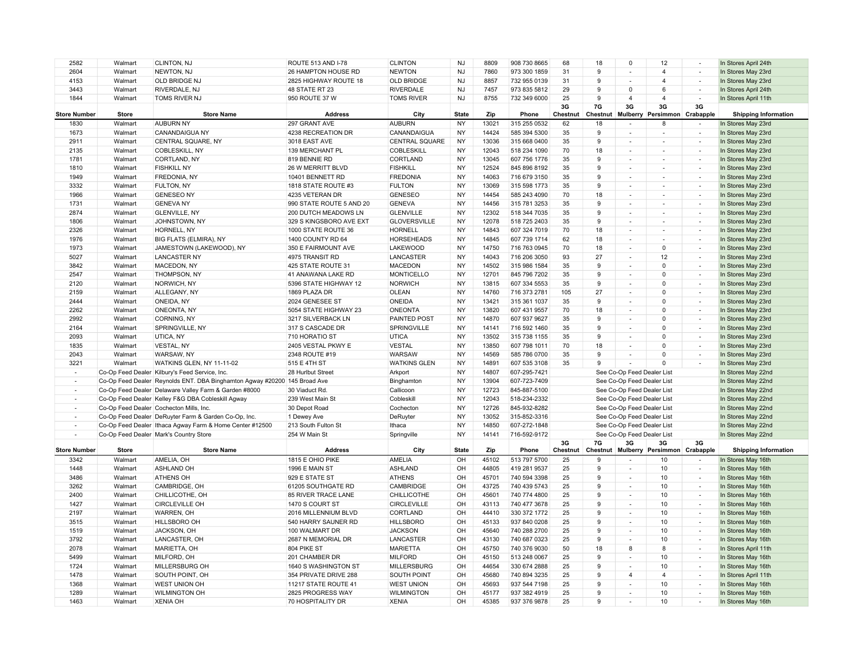| 2582                     | Walmart      | CLINTON, NJ                                                               | ROUTE 513 AND I-78       | <b>CLINTON</b>        | <b>NJ</b>    | 8809  | 908 730 8665 | 68             | 18             | $\mathsf 0$                | 12                                 | $\overline{\phantom{a}}$    | In Stores April 24th        |
|--------------------------|--------------|---------------------------------------------------------------------------|--------------------------|-----------------------|--------------|-------|--------------|----------------|----------------|----------------------------|------------------------------------|-----------------------------|-----------------------------|
| 2604                     | Walmart      | NEWTON, NJ                                                                | 26 HAMPTON HOUSE RD      | <b>NEWTON</b>         | <b>NJ</b>    | 7860  | 973 300 1859 | 31             | 9              | $\overline{a}$             | $\overline{4}$                     | $\overline{\phantom{a}}$    | In Stores May 23rd          |
| 4153                     | Walmart      | OLD BRIDGE NJ                                                             | 2825 HIGHWAY ROUTE 18    | <b>OLD BRIDGE</b>     | <b>NJ</b>    | 8857  | 732 955 0139 | 31             | 9              |                            | $\overline{4}$                     | ÷,                          | In Stores May 23rd          |
| 3443                     | Walmart      | RIVERDALE, NJ                                                             | 48 STATE RT 23           | <b>RIVERDALE</b>      | <b>NJ</b>    | 7457  | 973 835 5812 | 29             | 9              | $\Omega$                   | 6                                  | $\overline{\phantom{a}}$    | In Stores April 24th        |
| 1844                     | Walmart      | TOMS RIVER NJ                                                             | 950 ROUTE 37 W           | <b>TOMS RIVER</b>     | NJ           | 8755  | 732 349 6000 | 25             | $\mathbf{q}$   | $\overline{4}$             | $\overline{4}$                     | $\overline{\phantom{a}}$    | In Stores April 11th        |
|                          |              |                                                                           |                          |                       |              |       |              | 3G             | 7G             | 3G                         | 3G                                 | 3G                          |                             |
| <b>Store Number</b>      | <b>Store</b> | <b>Store Name</b>                                                         | <b>Address</b>           | City                  | <b>State</b> | Zip   | Phone        | Chestnut       | Chestnut       | Mulberry                   | Persimmon Crabapple                |                             | <b>Shipping Information</b> |
| 1830                     | Walmart      | <b>AUBURN NY</b>                                                          | 297 GRANT AVE            | <b>AUBURN</b>         | <b>NY</b>    | 13021 | 315 255 0532 | 62             | 18             | ÷,                         | 8                                  | $\sim$                      | In Stores May 23rd          |
| 1673                     | Walmart      | <b>CANANDAIGUA NY</b>                                                     | 4238 RECREATION DR       | CANANDAIGUA           | <b>NY</b>    | 14424 | 585 394 5300 | 35             | 9              |                            |                                    | ٠                           | In Stores May 23rd          |
| 2911                     | Walmart      | CENTRAL SQUARE, NY                                                        | 3018 EAST AVE            | <b>CENTRAL SQUARE</b> | <b>NY</b>    | 13036 | 315 668 0400 | 35             | 9              | $\overline{\phantom{a}}$   | $\overline{\phantom{a}}$           | $\overline{\phantom{a}}$    | In Stores May 23rd          |
| 2135                     | Walmart      | <b>COBLESKILL, NY</b>                                                     | 139 MERCHANT PL          | COBLESKILL            | <b>NY</b>    | 12043 | 518 234 1090 | 70             | 18             |                            |                                    | $\sim$                      | In Stores May 23rd          |
| 1781                     | Walmart      | CORTLAND, NY                                                              | 819 BENNIE RD            | CORTLAND              | <b>NY</b>    | 13045 | 607 756 1776 | 35             | 9              |                            |                                    | $\overline{\phantom{a}}$    | In Stores May 23rd          |
| 1810                     | Walmart      | <b>FISHKILL NY</b>                                                        | 26 W MERRITT BLVD        | <b>FISHKILL</b>       | <b>NY</b>    | 12524 | 845 896 8192 | 35             | 9              |                            |                                    | $\overline{\phantom{a}}$    | In Stores May 23rd          |
| 1949                     | Walmart      | FREDONIA, NY                                                              | 10401 BENNETT RD         | <b>FREDONIA</b>       | <b>NY</b>    | 14063 | 716 679 3150 | 35             | 9              |                            |                                    | ÷,                          | In Stores May 23rd          |
| 3332                     | Walmart      | FULTON, NY                                                                | 1818 STATE ROUTE #3      | <b>FULTON</b>         | <b>NY</b>    | 13069 | 315 598 1773 | 35             | 9              | $\overline{\phantom{a}}$   | $\overline{\phantom{a}}$           | $\overline{\phantom{a}}$    | In Stores May 23rd          |
| 1966                     | Walmart      | <b>GENESEO NY</b>                                                         | 4235 VETERAN DR          | <b>GENESEO</b>        | <b>NY</b>    | 14454 | 585 243 4090 | 70             | 18             |                            |                                    | $\sim$                      | In Stores May 23rd          |
| 1731                     | Walmart      | <b>GENEVA NY</b>                                                          | 990 STATE ROUTE 5 AND 20 | <b>GENEVA</b>         | <b>NY</b>    | 14456 | 315 781 3253 | 35             | 9              | $\overline{\phantom{a}}$   |                                    | $\overline{\phantom{a}}$    | In Stores May 23rd          |
| 2874                     | Walmart      | <b>GLENVILLE, NY</b>                                                      | 200 DUTCH MEADOWS LN     | <b>GLENVILLE</b>      | NY           | 12302 | 518 344 7035 | 35             | 9              |                            |                                    | $\overline{\phantom{a}}$    | In Stores May 23rd          |
| 1806                     | Walmart      | JOHNSTOWN, NY                                                             | 329 S KINGSBORO AVE EXT  | <b>GLOVERSVILLE</b>   | <b>NY</b>    | 12078 | 518 725 2403 | 35             | 9              |                            |                                    | ä,                          | In Stores May 23rd          |
| 2326                     | Walmart      | HORNELL, NY                                                               | 1000 STATE ROUTE 36      | <b>HORNELL</b>        | <b>NY</b>    | 14843 | 607 324 7019 | 70             | 18             | $\overline{\phantom{a}}$   | $\overline{\phantom{a}}$           | $\overline{\phantom{a}}$    | In Stores May 23rd          |
| 1976                     | Walmart      | BIG FLATS (ELMIRA), NY                                                    | 1400 COUNTY RD 64        | <b>HORSEHEADS</b>     | <b>NY</b>    | 14845 | 607 739 1714 | 62             | 18             |                            |                                    | $\overline{\phantom{a}}$    | In Stores May 23rd          |
| 1973                     | Walmart      | JAMESTOWN (LAKEWOOD), NY                                                  | 350 E FAIRMOUNT AVE      | <b>LAKEWOOD</b>       | <b>NY</b>    | 14750 | 716 763 0945 | 70             | 18             | $\blacksquare$             | $\mathbf 0$                        | $\overline{\phantom{a}}$    | In Stores May 23rd          |
| 5027                     | Walmart      | <b>LANCASTER NY</b>                                                       | 4975 TRANSIT RD          | LANCASTER             | <b>NY</b>    | 14043 | 716 206 3050 | 93             | 27             |                            | 12                                 | $\overline{a}$              | In Stores May 23rd          |
| 3842                     | Walmart      | MACEDON, NY                                                               | 425 STATE ROUTE 31       | <b>MACEDON</b>        | <b>NY</b>    | 14502 | 315 986 1584 | 35             | 9              |                            | $\Omega$                           | $\overline{\phantom{a}}$    | In Stores May 23rd          |
| 2547                     | Walmart      | THOMPSON, NY                                                              | 41 ANAWANA LAKE RD       | <b>MONTICELLO</b>     | <b>NY</b>    | 12701 | 845 796 7202 | 35             | 9              | $\overline{a}$             | $\Omega$                           | $\overline{\phantom{a}}$    | In Stores May 23rd          |
| 2120                     | Walmart      | NORWICH, NY                                                               | 5396 STATE HIGHWAY 12    | <b>NORWICH</b>        | <b>NY</b>    | 13815 | 607 334 5553 | 35             | 9              |                            | $\mathbf 0$                        | $\overline{\phantom{a}}$    | In Stores May 23rd          |
| 2159                     | Walmart      | ALLEGANY, NY                                                              | 1869 PLAZA DR            | OLEAN                 | <b>NY</b>    | 14760 | 716 373 2781 | 105            | 27             | $\blacksquare$             | $\Omega$                           | $\sim$                      | In Stores May 23rd          |
| 2444                     | Walmart      | ONEIDA, NY                                                                | 2024 GENESEE ST          | <b>ONEIDA</b>         | <b>NY</b>    | 13421 | 315 361 1037 | 35             | 9              |                            | $\Omega$                           | $\overline{\phantom{a}}$    | In Stores May 23rd          |
| 2262                     | Walmart      | ONEONTA, NY                                                               | 5054 STATE HIGHWAY 23    | <b>ONEONTA</b>        | <b>NY</b>    | 13820 | 607 431 9557 | 70             | 18             | $\overline{\phantom{a}}$   | $\Omega$                           | $\sim$                      | In Stores May 23rd          |
| 2992                     | Walmart      | CORNING, NY                                                               | 3217 SILVERBACK LN       | PAINTED POST          | <b>NY</b>    | 14870 | 607 937 9627 | 35             | 9              | $\overline{\phantom{a}}$   | $\mathbf 0$                        | $\mathcal{L}_{\mathcal{A}}$ | In Stores May 23rd          |
| 2164                     | Walmart      | SPRINGVILLE, NY                                                           | 317 S CASCADE DR         | SPRINGVILLE           | NY           | 14141 | 716 592 1460 | 35             | 9              |                            | $\mathbf 0$                        | $\overline{\phantom{a}}$    | In Stores May 23rd          |
| 2093                     | Walmart      | UTICA, NY                                                                 | 710 HORATIO ST           | <b>UTICA</b>          | <b>NY</b>    | 13502 | 315 738 1155 | 35             | 9              | ÷,                         | $\Omega$                           | $\sim$                      | In Stores May 23rd          |
| 1835                     | Walmart      | VESTAL, NY                                                                | 2405 VESTAL PKWY E       | <b>VESTAL</b>         | <b>NY</b>    | 13850 | 607 798 1011 | 70             | 18             | ۰.                         | $\mathbf 0$                        | ٠                           | In Stores May 23rd          |
| 2043                     | Walmart      | WARSAW, NY                                                                | 2348 ROUTE #19           | <b>WARSAW</b>         | <b>NY</b>    | 14569 | 585 786 0700 | 35             | 9              | $\overline{\phantom{a}}$   | $\Omega$                           | $\overline{\phantom{a}}$    | In Stores May 23rd          |
| 3221                     | Walmart      | WATKINS GLEN, NY 11-11-02                                                 | 515 E 4TH ST             | <b>WATKINS GLEN</b>   | <b>NY</b>    | 14891 | 607 535 3108 | 35             | $\mathbf{q}$   |                            | $\Omega$                           | $\overline{a}$              | In Stores May 23rd          |
|                          |              | Co-Op Feed Dealer Kilbury's Feed Service, Inc.                            | 28 Hurlbut Street        | Arkport               | NY           | 14807 | 607-295-7421 |                |                | See Co-Op Feed Dealer List |                                    |                             | In Stores May 22nd          |
| $\sim$                   |              | Co-Op Feed Dealer Reynolds ENT. DBA Binghamton Agway #20200 145 Broad Ave |                          | Binghamton            | <b>NY</b>    | 13904 | 607-723-7409 |                |                | See Co-Op Feed Dealer List |                                    |                             | In Stores May 22nd          |
|                          |              | Co-Op Feed Dealer Delaware Valley Farm & Garden #8000                     | 30 Viaduct Rd            | Callicoon             | <b>NY</b>    | 12723 | 845-887-5100 |                |                | See Co-Op Feed Dealer List |                                    |                             | In Stores May 22nd          |
| $\sim$                   |              | Co-Op Feed Dealer Kelley F&G DBA Cobleskill Agway                         | 239 West Main St         | Cobleskill            | <b>NY</b>    | 12043 | 518-234-2332 |                |                | See Co-Op Feed Dealer List |                                    |                             | In Stores May 22nd          |
| $\overline{\phantom{a}}$ |              | Co-Op Feed Dealer Cochecton Mills, Inc.                                   | 30 Depot Road            | Cochecton             | <b>NY</b>    | 12726 | 845-932-8282 |                |                | See Co-Op Feed Dealer List |                                    |                             | In Stores May 22nd          |
| $\overline{\phantom{a}}$ |              | Co-Op Feed Dealer DeRuyter Farm & Garden Co-Op, Inc.                      | 1 Dewey Ave              | DeRuyter              | <b>NY</b>    | 13052 | 315-852-3316 |                |                | See Co-Op Feed Dealer List |                                    |                             | In Stores May 22nd          |
| $\sim$                   |              | Co-Op Feed Dealer Ithaca Agway Farm & Home Center #12500                  | 213 South Fulton St      | Ithaca                | <b>NY</b>    | 14850 | 607-272-1848 |                |                | See Co-Op Feed Dealer List |                                    |                             | In Stores May 22nd          |
|                          |              | Co-Op Feed Dealer Mark's Country Store                                    | 254 W Main St            | Springville           | <b>NY</b>    | 14141 | 716-592-9172 |                |                | See Co-Op Feed Dealer List |                                    |                             | In Stores May 22nd          |
| <b>Store Number</b>      | <b>Store</b> | <b>Store Name</b>                                                         | <b>Address</b>           | City                  | <b>State</b> | Zip   | Phone        | 3G<br>Chestnut | 7G<br>Chestnut | 3G                         | 3G<br>Mulberry Persimmon Crabapple | 3G                          | <b>Shipping Information</b> |
| 3342                     | Walmart      | AMELIA, OH                                                                | 1815 E OHIO PIKE         | AMELIA                | OH           | 45102 | 513 797 5700 | 25             | 9              |                            | 10                                 |                             | In Stores May 16th          |
| 1448                     | Walmart      | ASHLAND OH                                                                | 1996 E MAIN ST           | <b>ASHLAND</b>        | OH           | 44805 | 419 281 9537 | 25             | 9              | $\overline{a}$             | 10                                 | $\overline{\phantom{a}}$    | In Stores May 16th          |
| 3486                     | Walmart      | <b>ATHENS OH</b>                                                          | 929 E STATE ST           | <b>ATHENS</b>         | OH           | 45701 | 740 594 3398 | 25             | 9              | ÷,                         | 10                                 | $\overline{a}$              | In Stores May 16th          |
| 3262                     | Walmart      | CAMBRIDGE, OH                                                             | 61205 SOUTHGATE RD       | CAMBRIDGE             | OH           | 43725 | 740 439 5743 | 25             | 9              |                            | 10                                 | $\overline{\phantom{a}}$    | In Stores May 16th          |
| 2400                     | Walmart      | CHILLICOTHE, OH                                                           | 85 RIVER TRACE LANE      | <b>CHILLICOTHE</b>    | OH           | 45601 | 740 774 4800 | 25             | 9              | $\overline{\phantom{a}}$   | 10                                 | $\overline{\phantom{a}}$    | In Stores May 16th          |
| 1427                     | Walmart      | CIRCLEVILLE OH                                                            | 1470 S COURT ST          | <b>CIRCLEVILLE</b>    | OH           | 43113 | 740 477 3678 | 25             | 9              |                            | 10                                 | $\overline{\phantom{a}}$    | In Stores May 16th          |
| 2197                     | Walmart      | WARREN, OH                                                                | 2016 MILLENNIUM BLVD     | CORTLAND              | OH           | 44410 | 330 372 1772 | 25             | 9              | $\overline{a}$             | 10                                 | $\overline{\phantom{a}}$    | In Stores May 16th          |
| 3515                     | Walmart      | HILLSBORO OH                                                              | 540 HARRY SAUNER RD      | <b>HILLSBORO</b>      | OH           | 45133 | 937 840 0208 | 25             | 9              | $\overline{\phantom{a}}$   | 10                                 | $\sim$                      | In Stores May 16th          |
| 1519                     | Walmart      | JACKSON, OH                                                               | 100 WALMART DR           | <b>JACKSON</b>        | OH           | 45640 | 740 288 2700 | 25             | 9              | $\overline{\phantom{a}}$   | 10                                 | $\overline{\phantom{a}}$    | In Stores May 16th          |
| 3792                     | Walmart      | LANCASTER, OH                                                             | 2687 N MEMORIAL DR       | LANCASTER             | OH           | 43130 | 740 687 0323 | 25             | 9              |                            | 10                                 | $\overline{\phantom{a}}$    | In Stores May 16th          |
| 2078                     | Walmart      | MARIETTA, OH                                                              | 804 PIKE ST              | <b>MARIETTA</b>       | OH           | 45750 | 740 376 9030 | 50             | 18             | 8                          | 8                                  | $\overline{\phantom{a}}$    | In Stores April 11th        |
| 5499                     | Walmart      | MILFORD, OH                                                               | 201 CHAMBER DR           | <b>MILFORD</b>        | OH           | 45150 | 513 248 0067 | 25             | 9              |                            | 10                                 | $\overline{\phantom{a}}$    | In Stores May 16th          |
| 1724                     | Walmart      | MILLERSBURG OH                                                            | 1640 S WASHINGTON ST     | <b>MILLERSBURG</b>    | OH           | 44654 | 330 674 2888 | 25             | 9              | $\overline{a}$             | 10                                 | ٠                           | In Stores May 16th          |
| 1478                     | Walmart      | SOUTH POINT, OH                                                           | 354 PRIVATE DRIVE 288    | SOUTH POINT           | OH           | 45680 | 740 894 3235 | 25             | 9              | $\overline{4}$             | $\overline{4}$                     | $\sim$                      | In Stores April 11th        |
| 1368                     | Walmart      | WEST UNION OH                                                             | 11217 STATE ROUTE 41     | <b>WEST UNION</b>     | OH           | 45693 | 937 544 7198 | 25             | 9              |                            | 10                                 | $\sim$                      | In Stores May 16th          |
| 1289                     | Walmart      | <b>WILMINGTON OH</b>                                                      | 2825 PROGRESS WAY        | <b>WILMINGTON</b>     | OH           | 45177 | 937 382 4919 | 25             | 9              |                            | 10                                 | $\overline{\phantom{a}}$    | In Stores May 16th          |
| 1463                     | Walmart      | <b>XENIA OH</b>                                                           | 70 HOSPITALITY DR        | <b>XENIA</b>          | OH           | 45385 | 937 376 9878 | 25             | $\mathbf{q}$   |                            | 10                                 | $\overline{\phantom{a}}$    | In Stores May 16th          |
|                          |              |                                                                           |                          |                       |              |       |              |                |                |                            |                                    |                             |                             |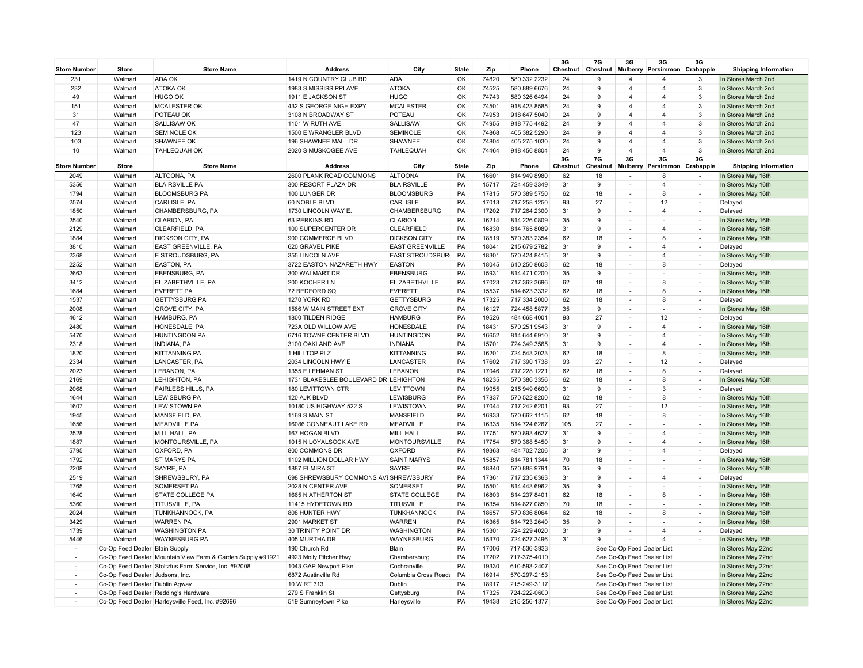| <b>Store Number</b>      | <b>Store</b>                    | <b>Store Name</b>                                           | <b>Address</b>                          | City                               | <b>State</b> | Zip            | Phone                        | 3G<br>Chestnut | 7G<br>Chestnut | 3G<br>Mulberry                                       | 3G<br>Persimmon Crabapple     | 3G                                                      | <b>Shipping Information</b>              |
|--------------------------|---------------------------------|-------------------------------------------------------------|-----------------------------------------|------------------------------------|--------------|----------------|------------------------------|----------------|----------------|------------------------------------------------------|-------------------------------|---------------------------------------------------------|------------------------------------------|
| 231                      | Walmart                         | ADA OK.                                                     | 1419 N COUNTRY CLUB RD                  | <b>ADA</b>                         | OK           | 74820          | 580 332 2232                 | 24             | 9              | $\overline{\mathbf{4}}$                              | $\overline{4}$                | 3                                                       | In Stores March 2nd                      |
| 232                      | Walmart                         | ATOKA OK.                                                   | 1983 S MISSISSIPPI AVE                  | <b>ATOKA</b>                       | OK           | 74525          | 580 889 6676                 | 24             | 9              | $\overline{4}$                                       | $\overline{4}$                | 3                                                       | In Stores March 2nd                      |
| 49                       | Walmart                         | <b>HUGO OK</b>                                              | 1911 E JACKSON ST                       | <b>HUGO</b>                        | OK           | 74743          | 580 326 6494                 | 24             | 9              | $\overline{4}$                                       | $\overline{4}$                | 3                                                       | In Stores March 2nd                      |
| 151                      | Walmart                         | <b>MCALESTER OK</b>                                         | 432 S GEORGE NIGH EXPY                  | <b>MCALESTER</b>                   | OK           | 74501          | 918 423 8585                 | 24             | 9              | $\overline{4}$                                       | $\overline{4}$                | 3                                                       | In Stores March 2nd                      |
| 31                       | Walmart                         | POTEAU OK                                                   | 3108 N BROADWAY ST                      | POTEAU                             | OK           | 74953          | 918 647 5040                 | 24             | 9              | $\overline{4}$                                       | $\overline{4}$                | 3                                                       | In Stores March 2nd                      |
| 47                       | Walmart                         | <b>SALLISAW OK</b>                                          | 1101 W RUTH AVE                         | SALLISAW                           | OK           | 74955          | 918 775 4492                 | 24             | 9              | $\overline{4}$                                       | $\overline{4}$                | 3                                                       | In Stores March 2nd                      |
| 123                      | Walmart                         | <b>SEMINOLE OK</b>                                          | 1500 E WRANGLER BLVD                    | <b>SEMINOLE</b>                    | OK           | 74868          | 405 382 5290                 | 24             | 9              | $\overline{4}$                                       | $\overline{4}$                | 3                                                       | In Stores March 2nd                      |
| 103                      | Walmart                         | SHAWNEE OK                                                  | 196 SHAWNEE MALL DR                     | SHAWNEE                            | OK           | 74804          | 405 275 1030                 | 24             | 9              | $\overline{4}$                                       | $\overline{4}$                | 3                                                       | In Stores March 2nd                      |
| 10                       | Walmart                         | <b>TAHLEQUAH OK</b>                                         | 2020 S MUSKOGEE AVE                     | <b>TAHLEQUAH</b>                   | OK           | 74464          | 918 456 8804                 | 24             | 9              | $\overline{4}$                                       | $\overline{4}$                | $\overline{3}$                                          | In Stores March 2nd                      |
| <b>Store Number</b>      | Store                           | <b>Store Name</b>                                           | <b>Address</b>                          | City                               | <b>State</b> | Zip            | Phone                        | 3G<br>Chestnut | 7G<br>Chestnut | 3G<br>Mulberry                                       | 3G<br>Persimmon               | 3G<br>Crabapple                                         | <b>Shipping Information</b>              |
| 2049                     | Walmart                         | ALTOONA, PA                                                 | 2600 PLANK ROAD COMMONS                 | <b>ALTOONA</b>                     | PA           | 16601          | 814 949 8980                 | 62             | 18             | $\mathcal{L}_{\mathcal{A}}$                          | 8                             | $\sim$                                                  | In Stores May 16th                       |
| 5356                     | Walmart                         | <b>BLAIRSVILLE PA</b>                                       | 300 RESORT PLAZA DR                     | <b>BLAIRSVILLE</b>                 | PA           | 15717          | 724 459 3349                 | 31             | 9              |                                                      | $\overline{4}$                | $\overline{\phantom{m}}$                                | In Stores May 16th                       |
| 1794                     | Walmart                         | <b>BLOOMSBURG PA</b>                                        | 100 LUNGER DR                           | <b>BLOOMSBURG</b>                  | PA           | 17815          | 570 389 5750                 | 62             | 18             | $\overline{\phantom{a}}$                             | 8                             | $\overline{\phantom{a}}$                                | In Stores May 16th                       |
| 2574                     | Walmart                         | CARLISLE, PA                                                | 60 NOBLE BLVD                           | CARLISLE                           | PA           | 17013          | 717 258 1250                 | 93             | 27             | $\overline{\phantom{a}}$                             | 12                            | $\overline{a}$                                          | Delayed                                  |
| 1850                     | Walmart                         | CHAMBERSBURG, PA                                            | 1730 LINCOLN WAY E.                     | CHAMBERSBURG                       | PA           | 17202          | 717 264 2300                 | 31             | 9              | $\overline{\phantom{a}}$                             | $\overline{4}$                | $\overline{\phantom{a}}$                                | Delayed                                  |
| 2540                     | Walmart                         | <b>CLARION, PA</b>                                          | 63 PERKINS RD                           | <b>CLARION</b>                     | PA           | 16214          | 814 226 0809                 | 35             | 9              |                                                      |                               | $\sim$                                                  | In Stores May 16th                       |
| 2129                     | Walmart                         | CLEARFIELD, PA                                              | 100 SUPERCENTER DR                      | CLEARFIELD                         | PA           | 16830          | 814 765 8089                 | 31             | 9              |                                                      | $\overline{4}$                | $\overline{\phantom{a}}$                                | In Stores May 16th                       |
| 1884                     | Walmart                         | <b>DICKSON CITY, PA</b>                                     | 900 COMMERCE BLVD                       | <b>DICKSON CITY</b>                | PA           | 18519          | 570 383 2354                 | 62             | 18             | $\overline{\phantom{a}}$                             | 8                             | $\overline{\phantom{a}}$                                | In Stores May 16th                       |
| 3810                     | Walmart                         | <b>EAST GREENVILLE, PA</b>                                  | 620 GRAVEL PIKE                         | <b>EAST GREENVILLE</b>             | PA           | 18041          | 215 679 2782                 | 31             | 9              |                                                      | $\overline{4}$                | $\sim$                                                  | Delayed                                  |
| 2368                     | Walmart                         | E STROUDSBURG, PA                                           | 355 LINCOLN AVE                         | <b>EAST STROUDSBUR</b>             | PA           | 18301          | 570 424 8415                 | 31             | 9              | $\overline{\phantom{a}}$                             | $\overline{4}$                | $\overline{\phantom{a}}$                                | In Stores May 16th                       |
| 2252                     | Walmart                         | <b>EASTON, PA</b>                                           | 3722 EASTON NAZARETH HWY                | <b>EASTON</b>                      | PA           | 18045          | 610 250 8603                 | 62             | 18             | $\overline{\phantom{a}}$                             | 8                             | $\sim$                                                  | Delayed                                  |
| 2663                     | Walmart                         | <b>EBENSBURG, PA</b>                                        | 300 WALMART DR                          | <b>EBENSBURG</b>                   | PA           | 15931          | 814 471 0200                 | 35             | 9              | $\overline{\phantom{a}}$                             | $\overline{\phantom{a}}$      | $\overline{\phantom{a}}$                                | In Stores May 16th                       |
| 3412                     | Walmart                         | ELIZABETHVILLE, PA                                          | 200 KOCHER LN                           | ELIZABETHVILLE                     | PA           | 17023          | 717 362 3696                 | 62             | 18             | $\mathcal{L}_{\mathcal{A}}$                          | 8                             | $\sim$                                                  | In Stores May 16th                       |
| 1684                     | Walmart                         | <b>EVERETT PA</b>                                           | 72 BEDFORD SQ                           | <b>EVERETT</b>                     | PA           | 15537          | 814 623 3332                 | 62             | 18             |                                                      | 8                             | $\overline{\phantom{a}}$                                | In Stores May 16th                       |
| 1537                     | Walmart                         | <b>GETTYSBURG PA</b>                                        | 1270 YORK RD                            | <b>GETTYSBURG</b>                  | PA           | 17325          | 717 334 2000                 | 62             | 18             | $\overline{a}$                                       | 8                             | $\overline{\phantom{a}}$                                | Delayed                                  |
| 2008                     | Walmart                         | <b>GROVE CITY, PA</b>                                       | 1566 W MAIN STREET EXT                  | <b>GROVE CITY</b>                  | PA           | 16127          | 724 458 5877                 | 35             | 9              |                                                      |                               | ÷.                                                      | In Stores May 16th                       |
| 4612                     | Walmart                         | <b>HAMBURG, PA</b>                                          | 1800 TILDEN RIDGE                       | <b>HAMBURG</b>                     | PA           | 19526          | 484 668 4001                 | 93             | 27             | $\sim$                                               | 12                            | $\overline{\phantom{a}}$                                | Delayed                                  |
| 2480                     | Walmart                         | HONESDALE, PA                                               | 723A OLD WILLOW AVE                     | HONESDALE                          | PA           | 18431          | 570 251 9543                 | 31             | 9              | $\overline{\phantom{a}}$                             | $\overline{4}$                | $\overline{a}$                                          | In Stores May 16th                       |
| 5470                     | Walmart                         | <b>HUNTINGDON PA</b>                                        | 6716 TOWNE CENTER BLVD                  | <b>HUNTINGDON</b>                  | PA           | 16652          | 814 644 6910                 | 31             | 9              |                                                      | $\overline{4}$                | $\overline{\phantom{a}}$                                | In Stores May 16th                       |
| 2318                     | Walmart                         | <b>INDIANA, PA</b>                                          | 3100 OAKLAND AVE                        | <b>INDIANA</b>                     | PA           | 15701          | 724 349 3565                 | 31             | 9              | $\overline{\phantom{a}}$                             | $\overline{4}$                | $\sim$                                                  | In Stores May 16th                       |
| 1820                     | Walmart                         | <b>KITTANNING PA</b>                                        | 1 HILLTOP PLZ                           | <b>KITTANNING</b>                  | PA           | 16201          | 724 543 2023                 | 62             | 18             |                                                      | 8                             | ÷,                                                      | In Stores May 16th                       |
| 2334                     | Walmart                         | LANCASTER, PA                                               | 2034 LINCOLN HWY E                      | LANCASTER                          | PA           | 17602          | 717 390 1738                 | 93             | 27             | $\overline{\phantom{a}}$                             | 12                            | $\sim$                                                  | Delayed                                  |
| 2023                     | Walmart                         | LEBANON, PA                                                 | 1355 E LEHMAN ST                        | <b>LEBANON</b>                     | PA           | 17046          | 717 228 1221                 | 62             | 18             |                                                      | 8                             | ٠                                                       | Delayed                                  |
| 2169                     | Walmart                         | <b>LEHIGHTON, PA</b>                                        | 1731 BLAKESLEE BOULEVARD DR LEHIGHTON   |                                    | PA           | 18235          | 570 386 3356                 | 62             | 18             | $\overline{\phantom{a}}$                             | 8                             | $\overline{\phantom{a}}$                                | In Stores May 16th                       |
| 2068                     | Walmart                         | <b>FAIRLESS HILLS, PA</b>                                   | 180 LEVITTOWN CTR                       | <b>LEVITTOWN</b>                   | PA           | 19055          | 215 949 6600                 | 31             | 9              | $\overline{\phantom{a}}$                             | 3                             | $\overline{a}$                                          | Delayed                                  |
| 1644                     | Walmart                         | <b>LEWISBURG PA</b>                                         | 120 AJK BLVD                            | LEWISBURG                          | PA           | 17837          | 570 522 8200                 | 62             | 18             |                                                      | 8                             | $\overline{a}$                                          | In Stores May 16th                       |
| 1607                     | Walmart                         | <b>LEWISTOWN PA</b>                                         | 10180 US HIGHWAY 522 S                  | LEWISTOWN                          | PA           | 17044          | 717 242 6201                 | 93             | 27             | $\overline{\phantom{a}}$                             | 12                            | $\overline{\phantom{a}}$                                | In Stores May 16th                       |
| 1945                     | Walmart                         | MANSFIELD, PA                                               | 1169 S MAIN ST                          | MANSFIELD                          | PA           | 16933          | 570 662 1115                 | 62             | 18             |                                                      | 8                             | ٠                                                       | In Stores May 16th                       |
| 1656                     | Walmart                         | <b>MEADVILLE PA</b>                                         | 16086 CONNEAUT LAKE RD                  | <b>MEADVILLE</b>                   | PA           | 16335          | 814 724 6267                 | 105            | 27             | $\overline{\phantom{a}}$                             |                               | $\overline{\phantom{a}}$                                | In Stores May 16th                       |
| 2528                     | Walmart                         | MILL HALL, PA                                               | 167 HOGAN BLVD                          | <b>MILL HALL</b>                   | PA           | 17751          | 570 893 4627                 | 31             | 9              |                                                      | $\overline{4}$                | $\sim$                                                  | In Stores May 16th                       |
| 1887                     | Walmart                         | MONTOURSVILLE, PA                                           | 1015 N LOYALSOCK AVE                    | <b>MONTOURSVILLE</b>               | PA           | 17754          | 570 368 5450                 | 31             | 9              | $\overline{\phantom{a}}$                             | $\overline{4}$                | $\overline{\phantom{a}}$                                | In Stores May 16th                       |
| 5795                     | Walmart                         | OXFORD, PA                                                  | 800 COMMONS DR                          | <b>OXFORD</b>                      | PA           | 19363          | 484 702 7206                 | 31             | 9              | $\overline{\phantom{a}}$                             | $\overline{4}$                | $\sim$                                                  | Delayed                                  |
| 1792                     | Walmart                         | <b>ST MARYS PA</b>                                          | 1102 MILLION DOLLAR HWY                 | <b>SAINT MARYS</b>                 | PA           | 15857          | 814 781 1344                 | 70             | 18             |                                                      |                               | $\overline{a}$                                          | In Stores May 16th                       |
| 2208                     | Walmart                         | SAYRE, PA                                                   | 1887 ELMIRA ST                          | SAYRE                              | PA           | 18840          | 570 888 9791                 | 35             | 9              | $\overline{\phantom{a}}$                             | $\overline{4}$                | $\overline{\phantom{a}}$                                | In Stores May 16th                       |
| 2519                     | Walmart                         | SHREWSBURY, PA                                              | 698 SHREWSBURY COMMONS AVESHREWSBURY    |                                    | PA           | 17361          | 717 235 6363                 | 31             | 9              |                                                      |                               | ÷,                                                      | Delayed                                  |
| 1765<br>1640             | Walmart<br>Walmart              | <b>SOMERSET PA</b><br><b>STATE COLLEGE PA</b>               | 2028 N CENTER AVE<br>1665 N ATHERTON ST | SOMERSET<br><b>STATE COLLEGE</b>   | PA<br>PA     | 15501<br>16803 | 814 443 6962<br>814 237 8401 | 35<br>62       | 9<br>18        | $\overline{\phantom{a}}$<br>$\overline{\phantom{a}}$ | $\overline{\phantom{a}}$<br>8 | $\overline{\phantom{a}}$<br>$\mathcal{L}_{\mathcal{A}}$ | In Stores May 16th<br>In Stores May 16th |
| 5360                     | Walmart                         | <b>TITUSVILLE, PA</b>                                       | 11415 HYDETOWN RD                       | <b>TITUSVILLE</b>                  | PA           | 16354          | 814 827 0850                 | 70             | 18             |                                                      |                               | $\overline{\phantom{a}}$                                | In Stores May 16th                       |
| 2024                     | Walmart                         | <b>TUNKHANNOCK, PA</b>                                      | 808 HUNTER HWY                          | TUNKHANNOCK                        | PA           | 18657          | 570 836 8064                 | 62             | 18             | ÷,                                                   | 8                             | $\overline{\phantom{a}}$                                | In Stores May 16th                       |
| 3429                     | Walmart                         | <b>WARREN PA</b>                                            |                                         |                                    | PA           | 16365          |                              | 35             | 9              |                                                      |                               | $\overline{a}$                                          | In Stores May 16th                       |
| 1739                     | Walmart                         | <b>WASHINGTON PA</b>                                        | 2901 MARKET ST<br>30 TRINITY POINT DR   | <b>WARREN</b><br><b>WASHINGTON</b> | PA           | 15301          | 814 723 2640<br>724 229 4020 | 31             | 9              | $\overline{\phantom{a}}$                             | $\overline{4}$                | $\overline{\phantom{a}}$                                | Delayed                                  |
| 5446                     | Walmart                         | <b>WAYNESBURG PA</b>                                        | 405 MURTHA DR                           | WAYNESBURG                         | PA           | 15370          | 724 627 3496                 | 31             | 9              |                                                      | $\overline{4}$                | $\sim$                                                  | In Stores May 16th                       |
|                          | Co-Op Feed Dealer Blain Supply  |                                                             | 190 Church Rd                           | Blain                              | PA           | 17006          | 717-536-3933                 |                |                | See Co-Op Feed Dealer List                           |                               |                                                         | In Stores May 22nd                       |
|                          |                                 | Co-Op Feed Dealer Mountain View Farm & Garden Supply #91921 | 4923 Molly Pitcher Hwy                  | Chambersburg                       | PA           | 17202          | 717-375-4010                 |                |                | See Co-Op Feed Dealer List                           |                               |                                                         | In Stores May 22nd                       |
|                          |                                 | Co-Op Feed Dealer Stoltzfus Farm Service, Inc. #92008       | 1043 GAP Newport Pike                   | Cochranville                       | PA           | 19330          | 610-593-2407                 |                |                | See Co-Op Feed Dealer List                           |                               |                                                         | In Stores May 22nd                       |
| $\overline{\phantom{a}}$ | Co-Op Feed Dealer Judsons, Inc. |                                                             | 6872 Austinville Rd                     | Columbia Cross Roads               | PA           | 16914          | 570-297-2153                 |                |                | See Co-Op Feed Dealer List                           |                               |                                                         | In Stores May 22nd                       |
|                          | Co-Op Feed Dealer Dublin Agway  |                                                             | 10 W RT 313                             | Dublin                             | PA           | 18917          | 215-249-3117                 |                |                | See Co-Op Feed Dealer List                           |                               |                                                         | In Stores May 22nd                       |
| $\overline{\phantom{a}}$ |                                 | Co-Op Feed Dealer Redding's Hardware                        | 279 S Franklin St                       | Gettysburg                         | PA           | 17325          | 724-222-0600                 |                |                | See Co-Op Feed Dealer List                           |                               |                                                         | In Stores May 22nd                       |
|                          |                                 | Co-Op Feed Dealer Harleysville Feed, Inc. #92696            | 519 Sumneytown Pike                     | Harleysville                       | PA           | 19438          | 215-256-1377                 |                |                | See Co-Op Feed Dealer List                           |                               |                                                         | In Stores May 22nd                       |
|                          |                                 |                                                             |                                         |                                    |              |                |                              |                |                |                                                      |                               |                                                         |                                          |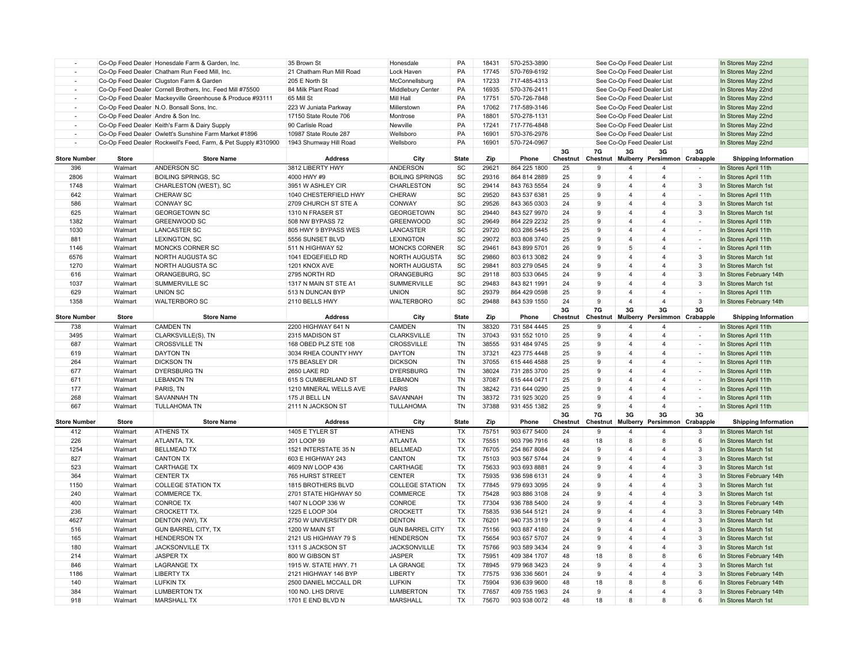|                          |                                    | Co-Op Feed Dealer Honesdale Farm & Garden, Inc.               | 35 Brown St              | Honesdale              | PA                           | 18431 | 570-253-3890                 |          |              | See Co-Op Feed Dealer List |                         |                          | In Stores May 22nd          |
|--------------------------|------------------------------------|---------------------------------------------------------------|--------------------------|------------------------|------------------------------|-------|------------------------------|----------|--------------|----------------------------|-------------------------|--------------------------|-----------------------------|
|                          |                                    | Co-Op Feed Dealer Chatham Run Feed Mill, Inc.                 | 21 Chatham Run Mill Road | Lock Haven             | PA                           | 17745 | 570-769-6192                 |          |              | See Co-Op Feed Dealer List |                         |                          | In Stores May 22nd          |
|                          |                                    | Co-Op Feed Dealer Clugston Farm & Garden                      | 205 E North St           | McConnellsburg         | PA                           | 17233 | 717-485-4313                 |          |              | See Co-Op Feed Dealer List |                         |                          | In Stores May 22nd          |
|                          |                                    | Co-Op Feed Dealer Cornell Brothers, Inc. Feed Mill #75500     | 84 Milk Plant Road       | Middlebury Center      | PA                           | 16935 | 570-376-2411                 |          |              | See Co-Op Feed Dealer List |                         |                          | In Stores May 22nd          |
| $\overline{\phantom{a}}$ |                                    | Co-Op Feed Dealer Mackeyville Greenhouse & Produce #93111     | 65 Mill St               | Mill Hall              | PA                           | 17751 | 570-726-7848                 |          |              | See Co-Op Feed Dealer List |                         |                          | In Stores May 22nd          |
|                          |                                    | Co-Op Feed Dealer N.O. Bonsall Sons, Inc.                     | 223 W Juniata Parkway    | Millerstown            | PA                           | 17062 | 717-589-3146                 |          |              | See Co-Op Feed Dealer List |                         |                          | In Stores May 22nd          |
| $\overline{\phantom{a}}$ | Co-Op Feed Dealer Andre & Son Inc. |                                                               | 17150 State Route 706    | Montrose               | PA                           | 18801 | 570-278-1131                 |          |              | See Co-Op Feed Dealer List |                         |                          | In Stores May 22nd          |
| $\sim$                   |                                    | Co-Op Feed Dealer Keith's Farm & Dairy Supply                 | 90 Carlisle Road         | Newville               | PA                           | 17241 | 717-776-4848                 |          |              | See Co-Op Feed Dealer List |                         |                          | In Stores May 22nd          |
|                          |                                    | Co-Op Feed Dealer Owlett's Sunshine Farm Market #1896         | 10987 State Route 287    | Wellsboro              | PA                           | 16901 | 570-376-2976                 |          |              | See Co-Op Feed Dealer List |                         |                          | In Stores May 22nd          |
|                          |                                    | Co-Op Feed Dealer Rockwell's Feed, Farm, & Pet Supply #310900 | 1943 Shumway Hill Road   | Wellsboro              | PA                           | 16901 | 570-724-0967                 |          |              | See Co-Op Feed Dealer List |                         |                          | In Stores May 22nd          |
|                          |                                    |                                                               |                          |                        |                              |       |                              | 3G       | <b>7G</b>    | 3G                         | 3G                      | 3G                       |                             |
| <b>Store Number</b>      | Store                              | <b>Store Name</b>                                             | <b>Address</b>           | City                   | <b>State</b>                 | Zip   | Phone                        | Chestnut | Chestnut     | Mulberry                   | Persimmon               | Crabapple                | <b>Shipping Information</b> |
| 396                      | Walmart                            | ANDERSON SC                                                   | 3812 LIBERTY HWY         | <b>ANDERSON</b>        | SC                           | 29621 | 864 225 1800                 | 25       | 9            | $\overline{4}$             | $\overline{4}$          | ÷                        | In Stores April 11th        |
| 2806                     | Walmart                            | <b>BOILING SPRINGS, SC</b>                                    | 4000 HWY #9              | <b>BOILING SPRINGS</b> | SC                           | 29316 | 864 814 2889                 | 25       | 9            | $\overline{4}$             | $\overline{4}$          |                          | In Stores April 11th        |
| 1748                     | Walmart                            | CHARLESTON (WEST), SC                                         | 3951 W ASHLEY CIR        | CHARLESTON             | $\operatorname{\textsf{SC}}$ | 29414 | 843 763 5554                 | 24       | $\mathbf{q}$ | $\overline{4}$             | $\overline{4}$          | 3                        | In Stores March 1st         |
| 642                      | Walmart                            | <b>CHERAW SC</b>                                              | 1040 CHESTERFIELD HWY    | <b>CHERAW</b>          | $\operatorname{\textsf{SC}}$ | 29520 | 843 537 6381                 | 25       | 9            | $\overline{4}$             | $\overline{4}$          | $\overline{\phantom{a}}$ | In Stores April 11th        |
| 586                      | Walmart                            | <b>CONWAY SC</b>                                              | 2709 CHURCH ST STE A     | <b>CONWAY</b>          | SC                           | 29526 | 843 365 0303                 | 24       | 9            | $\overline{4}$             | $\overline{\mathbf{A}}$ | 3                        | In Stores March 1st         |
| 625                      | Walmart                            | <b>GEORGETOWN SC</b>                                          | 1310 N FRASER ST         | <b>GEORGETOWN</b>      | SC                           | 29440 | 843 527 9970                 | 24       | 9            | $\overline{4}$             | $\overline{4}$          | 3                        | In Stores March 1st         |
| 1382                     | Walmart                            | <b>GREENWOOD SC</b>                                           | 508 NW BYPASS 72         | <b>GREENWOOD</b>       | SC                           | 29649 | 864 229 2232                 | 25       | 9            | $\overline{4}$             | $\overline{4}$          | $\overline{\phantom{a}}$ | In Stores April 11th        |
| 1030                     | Walmart                            | <b>LANCASTER SC</b>                                           | 805 HWY 9 BYPASS WES     | <b>LANCASTER</b>       | SC                           | 29720 | 803 286 5445                 | 25       | 9            | $\overline{4}$             | $\overline{4}$          | $\overline{\phantom{a}}$ | In Stores April 11th        |
| 881                      | Walmart                            | LEXINGTON, SC                                                 | 5556 SUNSET BLVD         | <b>LEXINGTON</b>       | SC                           | 29072 | 803 808 3740                 | 25       | 9            | $\overline{4}$             | $\overline{4}$          | ÷                        | In Stores April 11th        |
| 1146                     | Walmart                            | MONCKS CORNER SC                                              | 511 N HIGHWAY 52         | <b>MONCKS CORNER</b>   | $\operatorname{\textsf{SC}}$ | 29461 | 843 899 5701                 | 26       | 9            | 5                          | $\overline{\mathbf{A}}$ | $\sim$                   | In Stores April 11th        |
| 6576                     | Walmart                            | <b>NORTH AUGUSTA SC</b>                                       | 1041 EDGEFIELD RD        | <b>NORTH AUGUSTA</b>   | SC                           | 29860 | 803 613 3082                 | 24       | 9            | $\overline{4}$             | $\overline{4}$          | 3                        | In Stores March 1st         |
| 1270                     | Walmart                            | <b>NORTH AUGUSTA SC</b>                                       | 1201 KNOX AVE            | <b>NORTH AUGUSTA</b>   | SC                           | 29841 | 803 279 0545                 | 24       | 9            | $\overline{4}$             | $\overline{4}$          | 3                        | In Stores March 1st         |
| 616                      | Walmart                            | ORANGEBURG, SC                                                | 2795 NORTH RD            | ORANGEBURG             | SC                           | 29118 | 803 533 0645                 | 24       | 9            | $\overline{4}$             | $\overline{\mathbf{A}}$ | 3                        | In Stores February 14th     |
| 1037                     | Walmart                            | SUMMERVILLE SC                                                | 1317 N MAIN ST STE A1    | <b>SUMMERVILLE</b>     | SC                           | 29483 | 843 821 1991                 | 24       | 9            | $\overline{4}$             | $\overline{4}$          | 3                        | In Stores March 1st         |
| 629                      | Walmart                            | <b>UNION SC</b>                                               | 513 N DUNCAN BYP         | <b>UNION</b>           | SC                           | 29379 | 864 429 0598                 | 25       | 9            | $\overline{4}$             | $\overline{4}$          | $\overline{\phantom{a}}$ | In Stores April 11th        |
| 1358                     | Walmart                            | <b>WALTERBORO SC</b>                                          | 2110 BELLS HWY           | <b>WALTERBORO</b>      | $\operatorname{\textsf{SC}}$ | 29488 | 843 539 1550                 | 24       | 9            | $\overline{4}$             | $\overline{4}$          | $\mathbf{3}$             | In Stores February 14th     |
|                          |                                    |                                                               |                          |                        |                              |       |                              | 3G       | 7G           | 3G                         | 3G                      | 3G                       |                             |
| <b>Store Number</b>      | <b>Store</b>                       | <b>Store Name</b>                                             | <b>Address</b>           | City                   | <b>State</b>                 | Zip   | Phone                        | Chestnut | Chestnut     | Mulberry                   | Persimmon Crabapple     |                          | <b>Shipping Information</b> |
| 738                      | Walmart                            | <b>CAMDEN TN</b>                                              | 2200 HIGHWAY 641 N       | CAMDEN                 | <b>TN</b>                    | 38320 | 731 584 4445                 | 25       |              |                            | $\overline{4}$          |                          | In Stores April 11th        |
|                          |                                    |                                                               |                          |                        |                              |       |                              |          | 9            | $\overline{4}$             |                         |                          |                             |
| 3495                     | Walmart                            | CLARKSVILLE(S), TN                                            | 2315 MADISON ST          | <b>CLARKSVILLE</b>     | <b>TN</b>                    | 37043 | 931 552 1010                 | 25       | 9            | $\overline{4}$             | $\overline{4}$          | $\overline{\phantom{a}}$ | In Stores April 11th        |
| 687                      | Walmart                            | <b>CROSSVILLE TN</b>                                          | 168 OBED PLZ STE 108     | <b>CROSSVILLE</b>      | TN                           | 38555 | 931 484 9745                 | 25       | 9            | $\overline{4}$             | $\overline{4}$          | $\overline{a}$           | In Stores April 11th        |
| 619                      | Walmart                            | <b>DAYTON TN</b>                                              | 3034 RHEA COUNTY HWY     | <b>DAYTON</b>          | TN                           | 37321 | 423 775 4448                 | 25       | 9            | $\overline{4}$             | $\overline{4}$          | $\overline{\phantom{a}}$ | In Stores April 11th        |
| 264                      | Walmart                            | <b>DICKSON TN</b>                                             | 175 BEASLEY DR           | <b>DICKSON</b>         | <b>TN</b>                    | 37055 | 615 446 4588                 | 25       | 9            | $\overline{4}$             | $\overline{4}$          | $\overline{\phantom{a}}$ | In Stores April 11th        |
| 677                      | Walmart                            | <b>DYERSBURG TN</b>                                           | 2650 LAKE RD             | <b>DYERSBURG</b>       | <b>TN</b>                    | 38024 | 731 285 3700                 | 25       | 9            | $\overline{4}$             | $\overline{4}$          | $\sim$                   | In Stores April 11th        |
| 671                      | Walmart                            | <b>LEBANON TN</b>                                             | 615 S CUMBERLAND ST      | LEBANON                | TN                           | 37087 |                              | 25       | 9            | $\overline{4}$             | $\overline{4}$          | $\overline{\phantom{a}}$ | In Stores April 11th        |
| 177                      | Walmart                            | PARIS, TN                                                     | 1210 MINERAL WELLS AVE   | <b>PARIS</b>           | TN                           | 38242 | 615 444 0471<br>731 644 0290 | 25       | 9            | $\overline{4}$             | $\overline{4}$          | ÷                        | In Stores April 11th        |
| 268                      | Walmart                            | <b>SAVANNAH TN</b>                                            | 175 JI BELL LN           | SAVANNAH               | <b>TN</b>                    | 38372 | 731 925 3020                 | 25       | 9            | $\overline{4}$             | $\overline{4}$          | $\overline{\phantom{a}}$ | In Stores April 11th        |
| 667                      | Walmart                            | <b>TULLAHOMA TN</b>                                           | 2111 N JACKSON ST        | <b>TULLAHOMA</b>       | TN                           | 37388 | 931 455 1382                 | 25       | 9            | $\overline{4}$             | $\overline{4}$          | ÷,                       | In Stores April 11th        |
|                          |                                    |                                                               |                          |                        |                              |       |                              | 3G       | 7G           | 3G                         | 3G                      | 3G                       |                             |
| <b>Store Number</b>      | Store                              | <b>Store Name</b>                                             | <b>Address</b>           | City                   | <b>State</b>                 | Zip   | Phone                        | Chestnut | Chestnut     | Mulberry                   | Persimmon               | Crabapple                | <b>Shipping Information</b> |
| 412                      | Walmart                            | <b>ATHENS TX</b>                                              | 1405 E TYLER ST          | <b>ATHENS</b>          | TX                           | 75751 | 903 677 5400                 | 24       | 9            | $\overline{4}$             | $\overline{4}$          | 3                        | In Stores March 1st         |
| 226                      | Walmart                            | ATLANTA, TX.                                                  | 201 LOOP 59              | <b>ATLANTA</b>         | TX                           | 75551 | 903 796 7916                 | 48       | 18           | 8                          | 8                       | 6                        | In Stores March 1st         |
| 1254                     | Walmart                            | <b>BELLMEAD TX</b>                                            | 1521 INTERSTATE 35 N     | <b>BELLMEAD</b>        | TX                           | 76705 | 254 867 8084                 | 24       | 9            | $\overline{4}$             | $\overline{4}$          | $\mathbf{3}$             | In Stores March 1st         |
| 827                      | Walmart                            | <b>CANTON TX</b>                                              | 603 E HIGHWAY 243        | <b>CANTON</b>          | TX                           | 75103 | 903 567 5744                 | 24       | 9            | $\overline{4}$             | $\overline{4}$          | 3                        | In Stores March 1st         |
| 523                      | Walmart                            | <b>CARTHAGE TX</b>                                            | 4609 NW LOOP 436         | CARTHAGE               | <b>TX</b>                    | 75633 | 903 693 8881                 | 24       | 9            | $\overline{4}$             | $\overline{\mathbf{A}}$ | 3                        | In Stores March 1st         |
| 364                      | Walmart                            | <b>CENTER TX</b>                                              | 765 HURST STREET         | <b>CENTER</b>          | TX                           | 75935 | 936 598 6131                 | 24       | 9            | $\overline{4}$             | $\overline{4}$          | 3                        | In Stores February 14th     |
| 1150                     | Walmart                            | <b>COLLEGE STATION TX</b>                                     | 1815 BROTHERS BLVD       | <b>COLLEGE STATION</b> | TX                           | 77845 | 979 693 3095                 | 24       | 9            | $\overline{4}$             | $\overline{4}$          | 3                        | In Stores March 1st         |
| 240                      | Walmart                            | <b>COMMERCE TX.</b>                                           | 2701 STATE HIGHWAY 50    | <b>COMMERCE</b>        | TX                           | 75428 | 903 886 3108                 | 24       | 9            | $\overline{4}$             | $\overline{4}$          | 3                        | In Stores March 1st         |
| 400                      | Walmart                            | <b>CONROE TX</b>                                              | 1407 N LOOP 336 W        | CONROE                 | TX                           | 77304 | 936 788 5400                 | 24       | 9            | $\overline{4}$             | $\overline{4}$          | 3                        | In Stores February 14th     |
| 236                      | Walmart                            | <b>CROCKETT TX.</b>                                           | 1225 E LOOP 304          | <b>CROCKETT</b>        | TX                           | 75835 | 936 544 5121                 | 24       | 9            | $\overline{4}$             | $\overline{4}$          | $\mathbf{3}$             | In Stores February 14th     |
| 4627                     | Walmart                            | DENTON (NW), TX                                               | 2750 W UNIVERSITY DR     | <b>DENTON</b>          | TX                           | 76201 | 940 735 3119                 | 24       | 9            | $\overline{4}$             | $\overline{\mathbf{A}}$ | 3                        | In Stores March 1st         |
| 516                      | Walmart                            | <b>GUN BARREL CITY, TX</b>                                    | 1200 W MAIN ST           | <b>GUN BARREL CITY</b> | TX                           | 75156 | 903 887 4180                 | 24       | 9            | $\overline{4}$             | $\overline{4}$          | 3                        | In Stores March 1st         |
| 165                      | Walmart                            | <b>HENDERSON TX</b>                                           | 2121 US HIGHWAY 79 S     | <b>HENDERSON</b>       | TX                           | 75654 | 903 657 5707                 | 24       | 9            | $\overline{4}$             | $\overline{4}$          | 3                        | In Stores March 1st         |
| 180                      | Walmart                            | <b>JACKSONVILLE TX</b>                                        | 1311 S JACKSON ST        | <b>JACKSONVILLE</b>    | TX                           | 75766 | 903 589 3434                 | 24       | 9            | $\overline{4}$             | $\overline{4}$          | 3                        | In Stores March 1st         |
| 214                      | Walmart                            | <b>JASPER TX</b>                                              | 800 W GIBSON ST          | <b>JASPER</b>          | TX                           | 75951 | 409 384 1707                 | 48       | 18           | 8                          | 8                       | 6                        | In Stores February 14th     |
| 846                      | Walmart                            | <b>LAGRANGE TX</b>                                            | 1915 W. STATE HWY. 71    | <b>LA GRANGE</b>       | TX                           | 78945 | 979 968 3423                 | 24       | 9            | $\overline{4}$             | $\overline{4}$          | 3                        | In Stores March 1st         |
| 1186                     | Walmart                            | <b>LIBERTY TX</b>                                             | 2121 HIGHWAY 146 BYP     | <b>LIBERTY</b>         | TX                           | 77575 | 936 336 5601                 | 24       | 9            | $\overline{4}$             | $\overline{4}$          | $\mathbf{3}$             | In Stores February 14th     |
| 140                      | Walmart                            | <b>LUFKIN TX</b>                                              | 2500 DANIEL MCCALL DR    | <b>LUFKIN</b>          | TX                           | 75904 | 936 639 9600                 | 48       | 18           | 8                          | 8                       | 6                        | In Stores February 14th     |
| 384                      | Walmart                            | <b>LUMBERTON TX</b>                                           | 100 NO. LHS DRIVE        | <b>LUMBERTON</b>       | TX                           | 77657 | 409 755 1963                 | 24       | $\mathbf{Q}$ | $\overline{4}$             | $\overline{\mathbf{A}}$ | 3                        | In Stores February 14th     |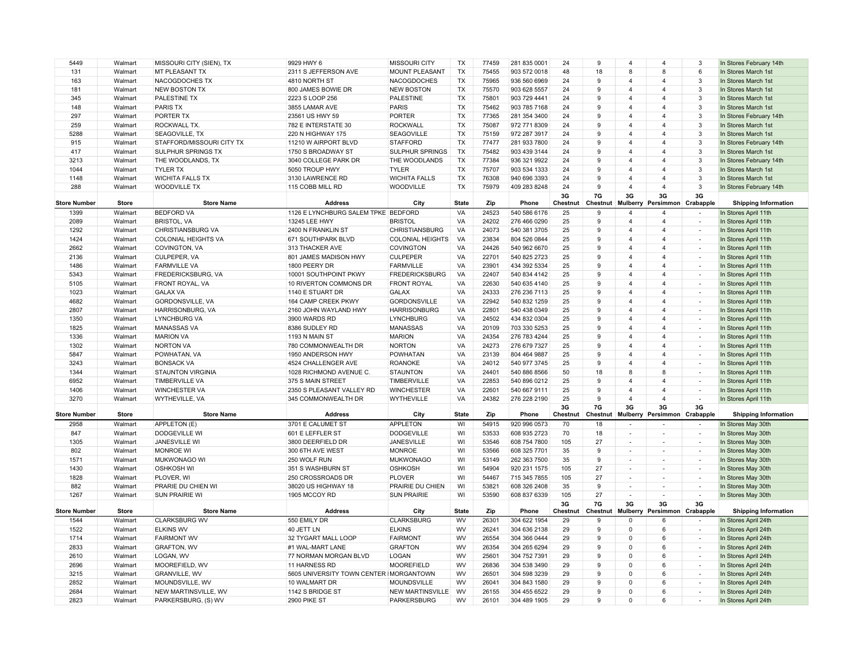| 5449                | Walmart      | MISSOURI CITY (SIEN), TX      | 9929 HWY 6                              | <b>MISSOURI CITY</b>                | TX           | 77459 | 281 835 0001                 | 24             | 9              | $\overline{4}$           | 4                        | 3                                  | In Stores February 14th                      |
|---------------------|--------------|-------------------------------|-----------------------------------------|-------------------------------------|--------------|-------|------------------------------|----------------|----------------|--------------------------|--------------------------|------------------------------------|----------------------------------------------|
| 131                 | Walmart      | MT PLEASANT TX                | 2311 S JEFFERSON AVE                    | MOUNT PLEASANT                      | <b>TX</b>    | 75455 | 903 572 0018                 | 48             | 18             | 8                        | 8                        | 6                                  | In Stores March 1st                          |
| 163                 | Walmart      | NACOGDOCHES TX                | 4810 NORTH ST                           | <b>NACOGDOCHES</b>                  | <b>TX</b>    | 75965 | 936 560 6969                 | 24             | 9              | $\overline{4}$           | 4                        | 3                                  | In Stores March 1st                          |
| 181                 | Walmart      | <b>NEW BOSTON TX</b>          | 800 JAMES BOWIE DR                      | <b>NEW BOSTON</b>                   | <b>TX</b>    | 75570 | 903 628 5557                 | 24             | 9              | $\overline{4}$           | $\overline{\mathbf{A}}$  | 3                                  | In Stores March 1st                          |
| 345                 | Walmart      | PALESTINE TX                  | 2223 S LOOP 256                         | <b>PALESTINE</b>                    | TX           | 75801 | 903 729 4441                 | 24             | 9              | 4                        | $\overline{\mathbf{A}}$  | 3                                  | In Stores March 1st                          |
| 148                 | Walmart      | <b>PARIS TX</b>               | 3855 LAMAR AVE                          | <b>PARIS</b>                        | TX           | 75462 | 903 785 7168                 | 24             | 9              | 4                        | 4                        | $\overline{3}$                     | In Stores March 1st                          |
| 297                 | Walmart      | <b>PORTER TX</b>              | 23561 US HWY 59                         | <b>PORTER</b>                       | TX           | 77365 | 281 354 3400                 | 24             | 9              | $\overline{4}$           | 4                        | 3                                  | In Stores February 14th                      |
| 259                 | Walmart      | ROCKWALL TX.                  | 782 E INTERSTATE 30                     | <b>ROCKWALL</b>                     | <b>TX</b>    | 75087 | 972 771 8309                 | 24             | $\mathbf{q}$   | 4                        | $\overline{4}$           | 3                                  | In Stores March 1st                          |
| 5288                | Walmart      | SEAGOVILLE, TX                | 220 N HIGHWAY 175                       | <b>SEAGOVILLE</b>                   | <b>TX</b>    | 75159 | 972 287 3917                 | 24             | 9              | $\overline{4}$           | $\overline{\mathbf{4}}$  | $\mathbf{3}$                       | In Stores March 1st                          |
| 915                 | Walmart      | STAFFORD/MISSOURI CITY TX     | 11210 W AIRPORT BLVD                    | <b>STAFFORD</b>                     | <b>TX</b>    | 77477 | 281 933 7800                 | 24             | 9              | $\overline{4}$           | $\overline{4}$           | 3                                  | In Stores February 14th                      |
| 417                 | Walmart      | SULPHUR SPRINGS TX            | 1750 S BROADWAY ST                      | <b>SULPHUR SPRINGS</b>              | TX           | 75482 | 903 439 3144                 | 24             | $\mathbf{q}$   | 4                        | $\Delta$                 | 3                                  | In Stores March 1st                          |
| 3213                | Walmart      | THE WOODLANDS, TX             | 3040 COLLEGE PARK DR                    | THE WOODLANDS                       | TX           | 77384 | 936 321 9922                 | 24             | 9              | 4                        | $\overline{\mathbf{4}}$  | 3                                  | In Stores February 14th                      |
| 1044                | Walmart      | <b>TYLER TX</b>               | 5050 TROUP HWY                          | <b>TYLER</b>                        | TX           | 75707 | 903 534 1333                 | 24             | 9              | $\overline{4}$           | 4                        | 3                                  | In Stores March 1st                          |
| 1148                | Walmart      | <b>WICHITA FALLS TX</b>       | 3130 LAWRENCE RD                        | <b>WICHITA FALLS</b>                | TX           | 76308 | 940 696 3393                 | 24             | 9              | $\overline{4}$           | $\overline{\mathbf{4}}$  | $\mathbf{3}$                       | In Stores March 1st                          |
| 288                 | Walmart      | <b>WOODVILLE TX</b>           | 115 COBB MILL RD                        | WOODVILLE                           | <b>TX</b>    | 75979 | 409 283 8248                 | 24             | 9              | $\Delta$                 | $\overline{4}$           | 3                                  | In Stores February 14th                      |
| <b>Store Number</b> | <b>Store</b> | <b>Store Name</b>             | <b>Address</b>                          | City                                | <b>State</b> | Zip   | Phone                        | 3G<br>Chestnut | 7G<br>Chestnut | 3G<br>Mulberry           | 3G<br>Persimmon          | 3G<br>Crabapple                    | <b>Shipping Information</b>                  |
| 1399                | Walmart      | <b>BEDFORD VA</b>             | 1126 E LYNCHBURG SALEM TPKE BEDFORD     |                                     | VA           | 24523 | 540 586 6176                 | 25             | 9              | $\overline{4}$           | 4                        | $\sim$                             | In Stores April 11th                         |
| 2089                | Walmart      | <b>BRISTOL, VA</b>            | 13245 LEE HWY                           | <b>BRISTOL</b>                      | VA           | 24202 | 276 466 0290                 | 25             | 9              | $\overline{4}$           | $\overline{\mathbf{4}}$  | ÷                                  | In Stores April 11th                         |
| 1292                | Walmart      | <b>CHRISTIANSBURG VA</b>      | 2400 N FRANKLIN ST                      | <b>CHRISTIANSBURG</b>               | VA           | 24073 | 540 381 3705                 | 25             | 9              | $\overline{4}$           | 4                        |                                    | In Stores April 11th                         |
| 1424                | Walmart      | <b>COLONIAL HEIGHTS VA</b>    | 671 SOUTHPARK BLVD                      | <b>COLONIAL HEIGHTS</b>             | VA           | 23834 | 804 526 0844                 | 25             | 9              | $\overline{4}$           | 4                        | $\overline{\phantom{a}}$<br>$\sim$ | In Stores April 11th                         |
| 2662                | Walmart      |                               | 313 THACKER AVE                         |                                     | VA           | 24426 |                              | 25             | 9              | $\overline{4}$           | $\overline{4}$           | ÷,                                 |                                              |
| 2136                | Walmart      | COVINGTON, VA<br>CULPEPER, VA | 801 JAMES MADISON HWY                   | <b>COVINGTON</b><br><b>CULPEPER</b> | VA           | 22701 | 540 962 6670<br>540 825 2723 | 25             | 9              | 4                        | 4                        |                                    | In Stores April 11th                         |
| 1486                | Walmart      | <b>FARMVILLE VA</b>           | 1800 PEERY DR                           | <b>FARMVILLE</b>                    | VA           | 23901 | 434 392 5334                 | 25             | 9              | $\overline{4}$           | $\overline{\mathbf{4}}$  | $\overline{\phantom{a}}$<br>$\sim$ | In Stores April 11th<br>In Stores April 11th |
| 5343                | Walmart      | FREDERICKSBURG, VA            | 10001 SOUTHPOINT PKWY                   | <b>FREDERICKSBURG</b>               | VA           | 22407 | 540 834 4142                 | 25             | $\mathbf{q}$   | $\overline{4}$           | $\overline{\mathbf{A}}$  | $\overline{\phantom{a}}$           | In Stores April 11th                         |
| 5105                | Walmart      | FRONT ROYAL, VA               | 10 RIVERTON COMMONS DR                  | <b>FRONT ROYAL</b>                  | VA           | 22630 | 540 635 4140                 | 25             | 9              | $\overline{4}$           | 4                        | $\sim$                             | In Stores April 11th                         |
| 1023                | Walmart      | <b>GALAX VA</b>               | 1140 E STUART DR                        | <b>GALAX</b>                        | VA           | 24333 | 276 236 7113                 | 25             | 9              | 4                        | 4                        | $\overline{\phantom{a}}$           | In Stores April 11th                         |
| 4682                | Walmart      | GORDONSVILLE, VA              | 164 CAMP CREEK PKWY                     | <b>GORDONSVILLE</b>                 | VA           | 22942 | 540 832 1259                 | 25             | 9              | 4                        | 4                        | $\sim$                             | In Stores April 11th                         |
| 2807                | Walmart      | HARRISONBURG, VA              | 2160 JOHN WAYLAND HWY                   | <b>HARRISONBURG</b>                 | VA           | 22801 | 540 438 0349                 | 25             | 9              | $\overline{4}$           | $\overline{4}$           | $\overline{a}$                     | In Stores April 11th                         |
| 1350                | Walmart      | <b>LYNCHBURG VA</b>           | 3900 WARDS RD                           | <b>LYNCHBURG</b>                    | VA           | 24502 | 434 832 0304                 | 25             | 9              | $\overline{4}$           | 4                        | $\overline{\phantom{a}}$           | In Stores April 11th                         |
| 1825                | Walmart      | <b>MANASSAS VA</b>            | 8386 SUDLEY RD                          | <b>MANASSAS</b>                     | VA           | 20109 | 703 330 5253                 | 25             | 9              | $\overline{4}$           | $\overline{\mathbf{A}}$  | $\overline{\phantom{a}}$           | In Stores April 11th                         |
| 1336                | Walmart      | <b>MARION VA</b>              | 1193 N MAIN ST                          | <b>MARION</b>                       | VA           | 24354 | 276 783 4244                 | 25             | 9              | $\overline{4}$           | $\overline{4}$           | $\overline{\phantom{a}}$           | In Stores April 11th                         |
| 1302                | Walmart      | <b>NORTON VA</b>              | 780 COMMONWEALTH DR                     | <b>NORTON</b>                       | VA           | 24273 | 276 679 7327                 | 25             | 9              | $\overline{4}$           | 4                        | $\sim$                             | In Stores April 11th                         |
| 5847                | Walmart      | POWHATAN, VA                  | 1950 ANDERSON HWY                       | <b>POWHATAN</b>                     | VA           | 23139 | 804 464 9887                 | 25             | 9              | 4                        | 4                        |                                    | In Stores April 11th                         |
| 3243                | Walmart      | <b>BONSACK VA</b>             | 4524 CHALLENGER AVE                     | <b>ROANOKE</b>                      | VA           | 24012 | 540 977 3745                 | 25             | 9              | $\overline{4}$           | $\overline{4}$           | $\overline{\phantom{a}}$           | In Stores April 11th                         |
| 1344                | Walmart      | <b>STAUNTON VIRGINIA</b>      | 1028 RICHMOND AVENUE C.                 | <b>STAUNTON</b>                     | VA           | 24401 | 540 886 8566                 | 50             | 18             | 8                        | 8                        | ٠                                  | In Stores April 11th                         |
| 6952                | Walmart      | <b>TIMBERVILLE VA</b>         | 375 S MAIN STREET                       | TIMBERVILLE                         | VA           | 22853 | 540 896 0212                 | 25             | 9              | 4                        | $\overline{4}$           | $\overline{\phantom{a}}$           | In Stores April 11th                         |
| 1406                | Walmart      | <b>WINCHESTER VA</b>          | 2350 S PLEASANT VALLEY RD               | <b>WINCHESTER</b>                   | VA           | 22601 | 540 667 9111                 | 25             | 9              | $\overline{4}$           | $\overline{\mathbf{4}}$  | $\overline{\phantom{a}}$           | In Stores April 11th                         |
| 3270                | Walmart      | WYTHEVILLE, VA                | 345 COMMONWEALTH DR                     | <b>WYTHEVILLE</b>                   | VA           | 24382 | 276 228 2190                 | 25             | 9              | $\overline{4}$           | $\overline{4}$           | $\overline{\phantom{a}}$           | In Stores April 11th                         |
|                     |              |                               |                                         |                                     |              |       |                              | 3G             | 7G             | 3G                       | 3G                       | 3G                                 |                                              |
| <b>Store Number</b> | <b>Store</b> | <b>Store Name</b>             | <b>Address</b>                          | City                                | <b>State</b> | Zip   | Phone                        | Chestnut       | Chestnut       | Mulberry                 | Persimmon Crabapple      |                                    | <b>Shipping Information</b>                  |
| 2958                | Walmart      | APPLETON (E)                  | 3701 E CALUMET ST                       | <b>APPLETON</b>                     | WI           | 54915 | 920 996 0573                 | 70             | 18             | ÷,                       |                          | $\overline{\phantom{a}}$           | In Stores May 30th                           |
| 847                 | Walmart      | <b>DODGEVILLE WI</b>          | 601 E LEFFLER ST                        | <b>DODGEVILLE</b>                   | WI           | 53533 | 608 935 2723                 | 70             | 18             | $\frac{1}{2}$            | $\overline{a}$           | $\sim$                             | In Stores May 30th                           |
| 1305                | Walmart      | <b>JANESVILLE WI</b>          | 3800 DEERFIELD DR                       | JANESVILLE                          | WI           | 53546 | 608 754 7800                 | 105            | 27             |                          |                          |                                    | In Stores May 30th                           |
| 802                 | Walmart      | <b>MONROE WI</b>              | 300 6TH AVE WEST                        | <b>MONROE</b>                       | WI           | 53566 | 608 325 7701                 | 35             | 9              | $\overline{\phantom{a}}$ | $\overline{\phantom{a}}$ | $\sim$                             | In Stores May 30th                           |
| 1571                | Walmart      | MUKWONAGO WI                  | 250 WOLF RUN                            | <b>MUKWONAGO</b>                    | WI           | 53149 | 262 363 7500                 | 35             | 9              | ÷                        | $\overline{\phantom{a}}$ | $\overline{\phantom{a}}$           | In Stores May 30th                           |
| 1430                | Walmart      | <b>OSHKOSH WI</b>             | 351 S WASHBURN ST                       | <b>OSHKOSH</b>                      | WI           | 54904 | 920 231 1575                 | 105            | 27             | $\overline{\phantom{m}}$ | $\overline{\phantom{a}}$ | $\overline{\phantom{a}}$           | In Stores May 30th                           |
| 1828                | Walmart      | PLOVER. WI                    | 250 CROSSROADS DR                       | <b>PLOVER</b>                       | WI           | 54467 | 715 345 7855                 | 105            | 27             | $\sim$                   | $\sim$                   | $\overline{\phantom{a}}$           | In Stores May 30th                           |
| 882                 | Walmart      | PRARIE DU CHIEN WI            | 38020 US HIGHWAY 18                     | PRAIRIE DU CHIEN                    | WI           | 53821 | 608 326 2408                 | 35             | 9              | $\overline{\phantom{a}}$ | $\overline{\phantom{a}}$ | $\overline{\phantom{a}}$           | In Stores May 30th                           |
| 1267                | Walmart      | <b>SUN PRAIRIE WI</b>         | 1905 MCCOY RD                           | <b>SUN PRAIRIE</b>                  | WI           | 53590 | 608 837 6339                 | 105            | 27             | $\overline{\phantom{a}}$ | $\overline{a}$           | $\overline{\phantom{a}}$           | In Stores May 30th                           |
| <b>Store Number</b> | <b>Store</b> | <b>Store Name</b>             | <b>Address</b>                          | City                                | <b>State</b> | Zip   | Phone                        | 3G<br>Chestnut | 7G<br>Chestnut | 3G<br><b>Mulberry</b>    | 3G<br>Persimmon          | 3G<br>Crabapple                    | <b>Shipping Information</b>                  |
| 1544                | Walmart      | <b>CLARKSBURG WV</b>          | 550 EMILY DR                            | <b>CLARKSBURG</b>                   | WV           | 26301 | 304 622 1954                 | 29             | 9              | $\Omega$                 | 6                        | $\overline{\phantom{a}}$           | In Stores April 24th                         |
| 1522                | Walmart      | <b>ELKINS WV</b>              | 40 JETT LN                              | <b>ELKINS</b>                       | WV           | 26241 | 304 636 2138                 | 29             | 9              | $\Omega$                 | 6                        | ٠                                  | In Stores April 24th                         |
| 1714                | Walmart      | <b>FAIRMONT WV</b>            | 32 TYGART MALL LOOP                     | <b>FAIRMONT</b>                     | WV           | 26554 | 304 366 0444                 | 29             | 9              | $\Omega$                 | 6                        | $\overline{\phantom{a}}$           | In Stores April 24th                         |
| 2833                | Walmart      | <b>GRAFTON, WV</b>            | #1 WAL-MART LANE                        | <b>GRAFTON</b>                      | WV           | 26354 | 304 265 6294                 | 29             | 9              | $\Omega$                 | 6                        | $\sim$                             | In Stores April 24th                         |
| 2610                | Walmart      | LOGAN, WV                     | 77 NORMAN MORGAN BLVD                   | <b>LOGAN</b>                        | WV           | 25601 | 304 752 7391                 | 29             | 9              | 0                        | 6                        | $\overline{\phantom{a}}$           | In Stores April 24th                         |
| 2696                | Walmart      | MOOREFIELD, WV                | 11 HARNESS RD                           | <b>MOOREFIELD</b>                   | WV           | 26836 | 304 538 3490                 | 29             | 9              | $\Omega$                 | 6                        | $\sim$                             | In Stores April 24th                         |
| 3215                | Walmart      | GRANVILLE, WV                 | 5605 UNIVERSITY TOWN CENTER IMORGANTOWN |                                     | WV           | 26501 | 304 598 3239                 | 29             | 9              | $\Omega$                 | 6                        |                                    | In Stores April 24th                         |
| 2852                | Walmart      | MOUNDSVILLE, WV               | 10 WALMART DR                           | <b>MOUNDSVILLE</b>                  | WV           | 26041 | 304 843 1580                 | 29             | 9              | $\Omega$                 | 6                        | $\sim$                             | In Stores April 24th                         |
| 2684                | Walmart      | NEW MARTINSVILLE, WV          | 1142 S BRIDGE ST                        |                                     |              |       | 304 455 6522                 | 29             | 9              | $\Omega$                 | 6                        | $\sim$                             |                                              |
|                     |              |                               |                                         | <b>NEW MARTINSVILLE</b>             | WV           | 26155 |                              |                |                |                          |                          |                                    | In Stores April 24th                         |
| 2823                | Walmart      | PARKERSBURG, (S) WV           | 2900 PIKE ST                            | <b>PARKERSBURG</b>                  | WV           | 26101 | 304 489 1905                 | 29             | $\mathbf{q}$   | $\Omega$                 | 6                        | ٠                                  | In Stores April 24th                         |